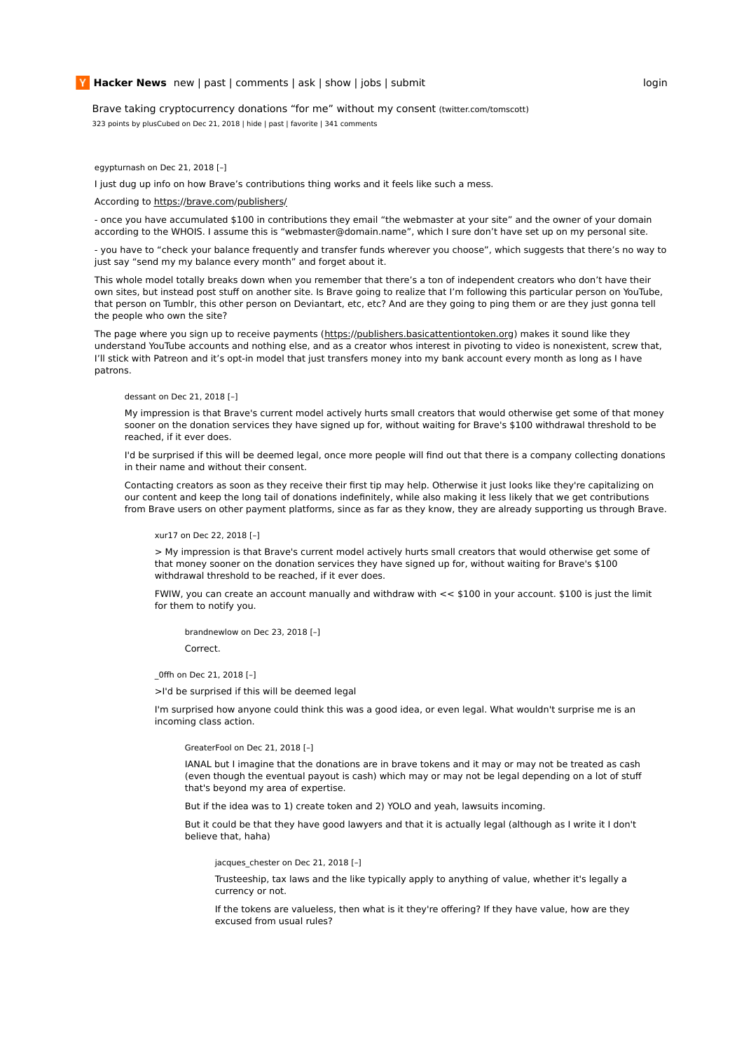Brave taking cryptocurrency donations "for me" without my consent (twitter.com/tomscott)

323 points by plusCubed on Dec 21, 2018 | hide | past | favorite | 341 comments

egypturnash on Dec 21, 2018 [–]

I just dug up info on how Brave's contributions thing works and it feels like such a mess.

### According to https://brave.com/publishers/

- once you have accumulated \$100 in contributions they email "the webmaster at your site" and the owner of your domain according to the WHOIS. I assume this is "webmaster@domain.name", which I sure don't have set up on my personal site.

- you have to "check your balance frequently and transfer funds wherever you choose", which suggests that there's no way to just say "send my my balance every month" and forget about it.

This whole model totally breaks down when you remember that there's a ton of independent creators who don't have their own sites, but instead post stuff on another site. Is Brave going to realize that I'm following this particular person on YouTube, that person on Tumblr, this other person on Deviantart, etc, etc? And are they going to ping them or are they just gonna tell the people who own the site?

The page where you sign up to receive payments (https://publishers.basicattentiontoken.org) makes it sound like they understand YouTube accounts and nothing else, and as a creator whos interest in pivoting to video is nonexistent, screw that, I'll stick with Patreon and it's opt-in model that just transfers money into my bank account every month as long as I have patrons.

## dessant on Dec 21, 2018 [–]

My impression is that Brave's current model actively hurts small creators that would otherwise get some of that money sooner on the donation services they have signed up for, without waiting for Brave's \$100 withdrawal threshold to be reached, if it ever does.

I'd be surprised if this will be deemed legal, once more people will find out that there is a company collecting donations in their name and without their consent.

Contacting creators as soon as they receive their first tip may help. Otherwise it just looks like they're capitalizing on our content and keep the long tail of donations indefinitely, while also making it less likely that we get contributions from Brave users on other payment platforms, since as far as they know, they are already supporting us through Brave.

# xur17 on Dec 22, 2018 [–]

> My impression is that Brave's current model actively hurts small creators that would otherwise get some of that money sooner on the donation services they have signed up for, without waiting for Brave's \$100 withdrawal threshold to be reached, if it ever does.

FWIW, you can create an account manually and withdraw with << \$100 in your account. \$100 is just the limit for them to notify you.

brandnewlow on Dec 23, 2018 [–] Correct.

\_0ffh on Dec 21, 2018 [–]

>I'd be surprised if this will be deemed legal

I'm surprised how anyone could think this was a good idea, or even legal. What wouldn't surprise me is an incoming class action.

### GreaterFool on Dec 21, 2018 [–]

IANAL but I imagine that the donations are in brave tokens and it may or may not be treated as cash (even though the eventual payout is cash) which may or may not be legal depending on a lot of stuff that's beyond my area of expertise.

But if the idea was to 1) create token and 2) YOLO and yeah, lawsuits incoming.

But it could be that they have good lawyers and that it is actually legal (although as I write it I don't believe that, haha)

jacques chester on Dec 21, 2018 [-]

Trusteeship, tax laws and the like typically apply to anything of value, whether it's legally a currency or not.

If the tokens are valueless, then what is it they're offering? If they have value, how are they excused from usual rules?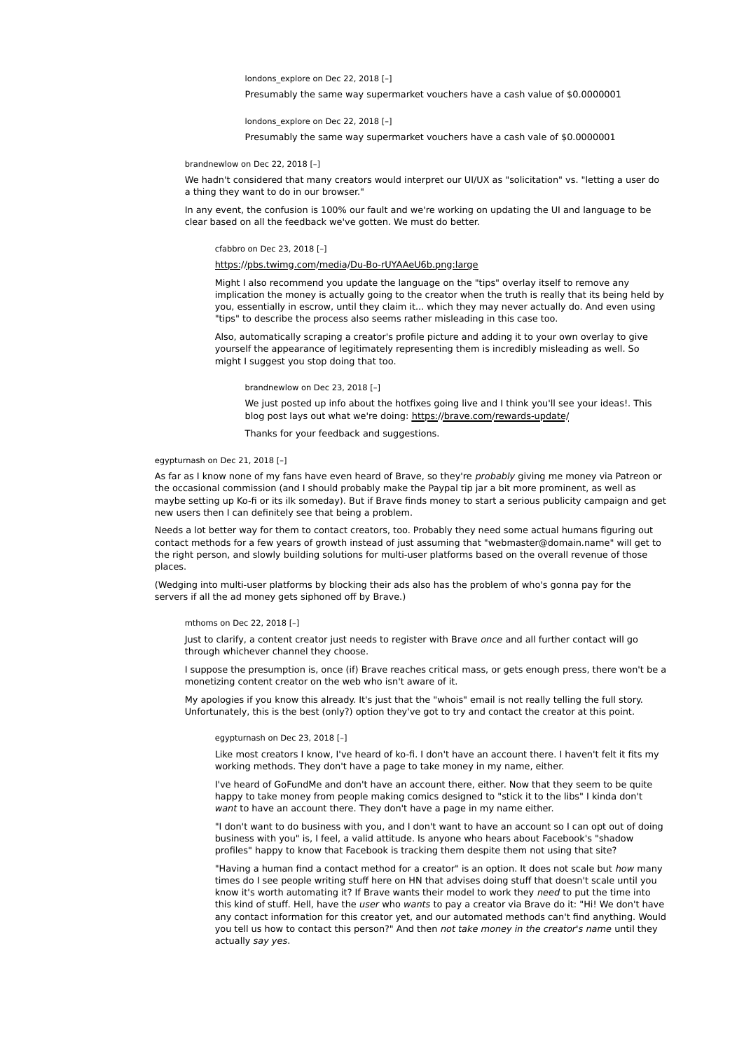# londons\_explore on Dec 22, 2018 [–]

Presumably the same way supermarket vouchers have a cash value of \$0.0000001

londons\_explore on Dec 22, 2018 [–] Presumably the same way supermarket vouchers have a cash vale of \$0.0000001

#### brandnewlow on Dec 22, 2018 [–]

We hadn't considered that many creators would interpret our UI/UX as "solicitation" vs. "letting a user do a thing they want to do in our browser."

In any event, the confusion is 100% our fault and we're working on updating the UI and language to be clear based on all the feedback we've gotten. We must do better.

# cfabbro on Dec 23, 2018 [–]

# https://pbs.twimg.com/media/Du-Bo-rUYAAeU6b.png:large

Might I also recommend you update the language on the "tips" overlay itself to remove any implication the money is actually going to the creator when the truth is really that its being held by you, essentially in escrow, until they claim it... which they may never actually do. And even using "tips" to describe the process also seems rather misleading in this case too.

Also, automatically scraping a creator's profile picture and adding it to your own overlay to give yourself the appearance of legitimately representing them is incredibly misleading as well. So might I suggest you stop doing that too.

#### brandnewlow on Dec 23, 2018 [–]

We just posted up info about the hotfixes going live and I think you'll see your ideas!. This blog post lays out what we're doing: https://brave.com/rewards-update/

Thanks for your feedback and suggestions.

# egypturnash on Dec 21, 2018 [–]

As far as I know none of my fans have even heard of Brave, so they're probably giving me money via Patreon or the occasional commission (and I should probably make the Paypal tip jar a bit more prominent, as well as maybe setting up Ko-fi or its ilk someday). But if Brave finds money to start a serious publicity campaign and get new users then I can definitely see that being a problem.

Needs a lot better way for them to contact creators, too. Probably they need some actual humans figuring out contact methods for a few years of growth instead of just assuming that "webmaster@domain.name" will get to the right person, and slowly building solutions for multi-user platforms based on the overall revenue of those places.

(Wedging into multi-user platforms by blocking their ads also has the problem of who's gonna pay for the servers if all the ad money gets siphoned off by Brave.)

#### mthoms on Dec 22, 2018 [–]

Just to clarify, a content creator just needs to register with Brave once and all further contact will go through whichever channel they choose.

I suppose the presumption is, once (if) Brave reaches critical mass, or gets enough press, there won't be a monetizing content creator on the web who isn't aware of it.

My apologies if you know this already. It's just that the "whois" email is not really telling the full story. Unfortunately, this is the best (only?) option they've got to try and contact the creator at this point.

#### egypturnash on Dec 23, 2018 [–]

Like most creators I know, I've heard of ko-fi. I don't have an account there. I haven't felt it fits my working methods. They don't have a page to take money in my name, either.

I've heard of GoFundMe and don't have an account there, either. Now that they seem to be quite happy to take money from people making comics designed to "stick it to the libs" I kinda don't want to have an account there. They don't have a page in my name either.

"I don't want to do business with you, and I don't want to have an account so I can opt out of doing business with you" is, I feel, a valid attitude. Is anyone who hears about Facebook's "shadow profiles" happy to know that Facebook is tracking them despite them not using that site?

"Having a human find a contact method for a creator" is an option. It does not scale but how many times do I see people writing stuff here on HN that advises doing stuff that doesn't scale until you know it's worth automating it? If Brave wants their model to work they need to put the time into this kind of stuff. Hell, have the user who wants to pay a creator via Brave do it: "Hi! We don't have any contact information for this creator yet, and our automated methods can't find anything. Would you tell us how to contact this person?" And then not take money in the creator's name until they actually say yes.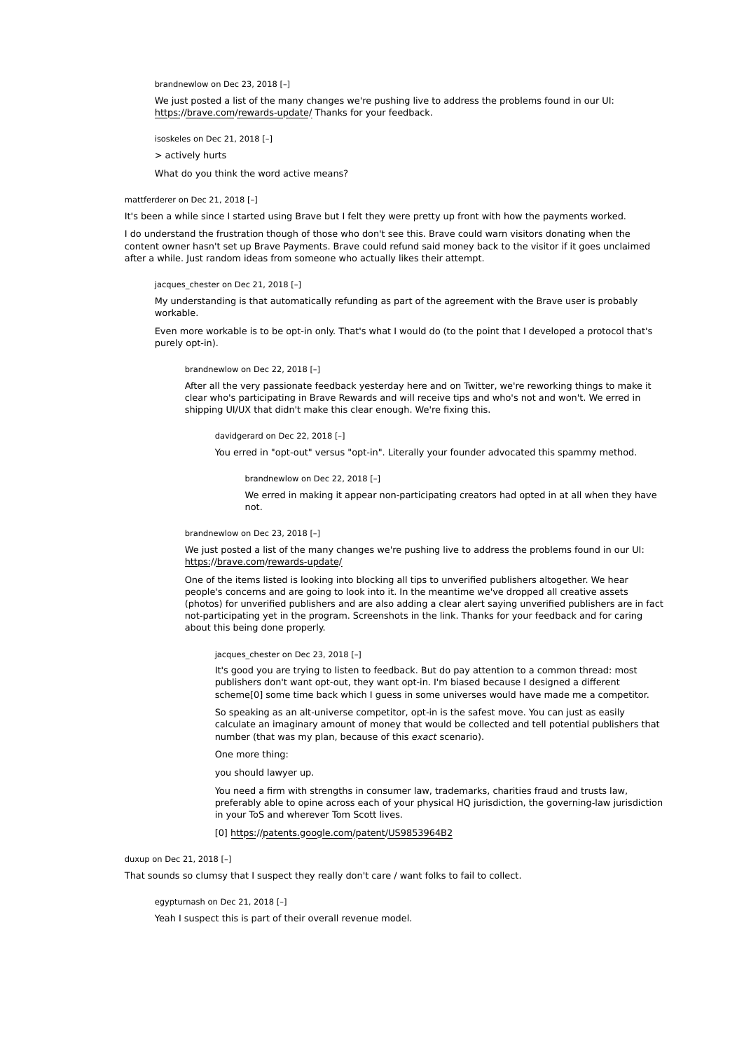brandnewlow on Dec 23, 2018 [–]

We just posted a list of the many changes we're pushing live to address the problems found in our UI: https://brave.com/rewards-update/ Thanks for your feedback.

isoskeles on Dec 21, 2018 [–]

> actively hurts

What do you think the word active means?

mattferderer on Dec 21, 2018 [–]

It's been a while since I started using Brave but I felt they were pretty up front with how the payments worked.

I do understand the frustration though of those who don't see this. Brave could warn visitors donating when the content owner hasn't set up Brave Payments. Brave could refund said money back to the visitor if it goes unclaimed after a while. Just random ideas from someone who actually likes their attempt.

jacques\_chester on Dec 21, 2018 [-]

My understanding is that automatically refunding as part of the agreement with the Brave user is probably workable.

Even more workable is to be opt-in only. That's what I would do (to the point that I developed a protocol that's purely opt-in).

brandnewlow on Dec 22, 2018 [–]

After all the very passionate feedback yesterday here and on Twitter, we're reworking things to make it clear who's participating in Brave Rewards and will receive tips and who's not and won't. We erred in shipping UI/UX that didn't make this clear enough. We're fixing this.

davidgerard on Dec 22, 2018 [–]

You erred in "opt-out" versus "opt-in". Literally your founder advocated this spammy method.

brandnewlow on Dec 22, 2018 [–]

We erred in making it appear non-participating creators had opted in at all when they have not.

brandnewlow on Dec 23, 2018 [–]

We just posted a list of the many changes we're pushing live to address the problems found in our UI: https://brave.com/rewards-update/

One of the items listed is looking into blocking all tips to unverified publishers altogether. We hear people's concerns and are going to look into it. In the meantime we've dropped all creative assets (photos) for unverified publishers and are also adding a clear alert saying unverified publishers are in fact not-participating yet in the program. Screenshots in the link. Thanks for your feedback and for caring about this being done properly.

jacques\_chester on Dec 23, 2018 [–]

It's good you are trying to listen to feedback. But do pay attention to a common thread: most publishers don't want opt-out, they want opt-in. I'm biased because I designed a different scheme[0] some time back which I guess in some universes would have made me a competitor.

So speaking as an alt-universe competitor, opt-in is the safest move. You can just as easily calculate an imaginary amount of money that would be collected and tell potential publishers that number (that was my plan, because of this exact scenario).

One more thing:

you should lawyer up.

You need a firm with strengths in consumer law, trademarks, charities fraud and trusts law, preferably able to opine across each of your physical HQ jurisdiction, the governing-law jurisdiction in your ToS and wherever Tom Scott lives.

[0] https://patents.google.com/patent/US9853964B2

duxup on Dec 21, 2018 [–]

That sounds so clumsy that I suspect they really don't care / want folks to fail to collect.

egypturnash on Dec 21, 2018 [–]

Yeah I suspect this is part of their overall revenue model.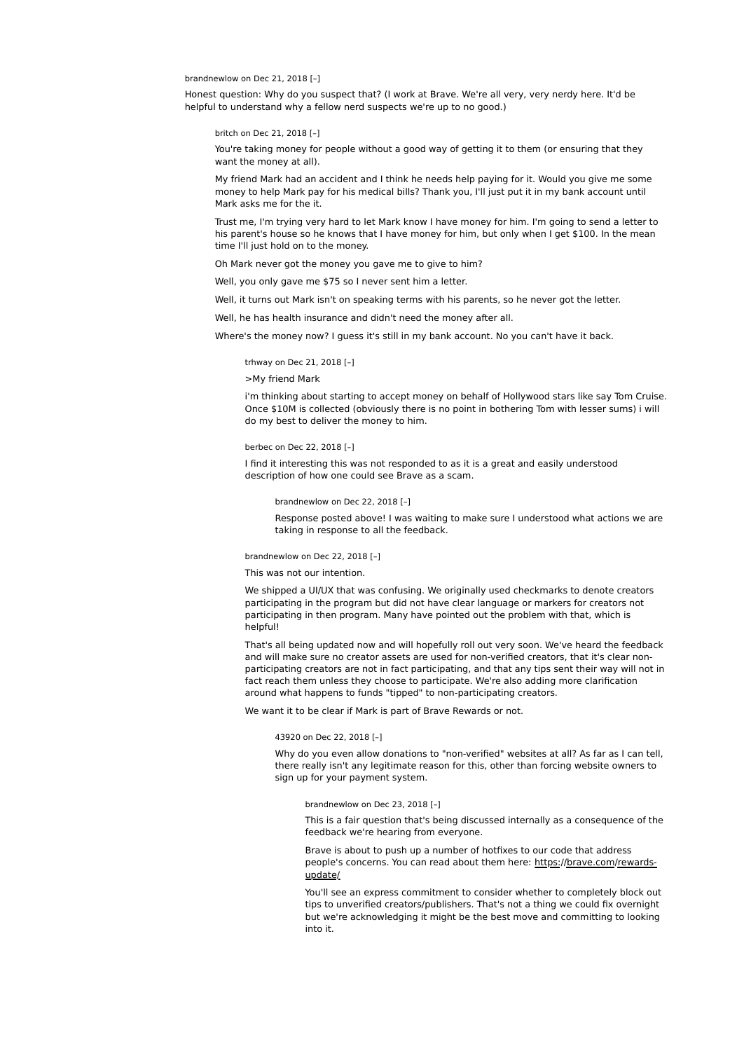### brandnewlow on Dec 21, 2018 [–]

Honest question: Why do you suspect that? (I work at Brave. We're all very, very nerdy here. It'd be helpful to understand why a fellow nerd suspects we're up to no good.)

#### britch on Dec 21, 2018 [–]

You're taking money for people without a good way of getting it to them (or ensuring that they want the money at all).

My friend Mark had an accident and I think he needs help paying for it. Would you give me some money to help Mark pay for his medical bills? Thank you, I'll just put it in my bank account until Mark asks me for the it.

Trust me, I'm trying very hard to let Mark know I have money for him. I'm going to send a letter to his parent's house so he knows that I have money for him, but only when I get \$100. In the mean time I'll just hold on to the money.

Oh Mark never got the money you gave me to give to him?

Well, you only gave me \$75 so I never sent him a letter.

Well, it turns out Mark isn't on speaking terms with his parents, so he never got the letter.

Well, he has health insurance and didn't need the money after all.

Where's the money now? I guess it's still in my bank account. No you can't have it back.

### trhway on Dec 21, 2018 [–]

>My friend Mark

i'm thinking about starting to accept money on behalf of Hollywood stars like say Tom Cruise. Once \$10M is collected (obviously there is no point in bothering Tom with lesser sums) i will do my best to deliver the money to him.

#### berbec on Dec 22, 2018 [–]

I find it interesting this was not responded to as it is a great and easily understood description of how one could see Brave as a scam.

#### brandnewlow on Dec 22, 2018 [–]

Response posted above! I was waiting to make sure I understood what actions we are taking in response to all the feedback.

#### brandnewlow on Dec 22, 2018 [–]

This was not our intention.

We shipped a UI/UX that was confusing. We originally used checkmarks to denote creators participating in the program but did not have clear language or markers for creators not participating in then program. Many have pointed out the problem with that, which is helpful!

That's all being updated now and will hopefully roll out very soon. We've heard the feedback and will make sure no creator assets are used for non-verified creators, that it's clear nonparticipating creators are not in fact participating, and that any tips sent their way will not in fact reach them unless they choose to participate. We're also adding more clarification around what happens to funds "tipped" to non-participating creators.

We want it to be clear if Mark is part of Brave Rewards or not.

#### 43920 on Dec 22, 2018 [–]

Why do you even allow donations to "non-verified" websites at all? As far as I can tell, there really isn't any legitimate reason for this, other than forcing website owners to sign up for your payment system.

#### brandnewlow on Dec 23, 2018 [–]

This is a fair question that's being discussed internally as a consequence of the feedback we're hearing from everyone.

Brave is about to push up a number of hotfixes to our code that address people's concerns. You can read about them here: https://brave.com/rewardsupdate/

You'll see an express commitment to consider whether to completely block out tips to unverified creators/publishers. That's not a thing we could fix overnight but we're acknowledging it might be the best move and committing to looking into it.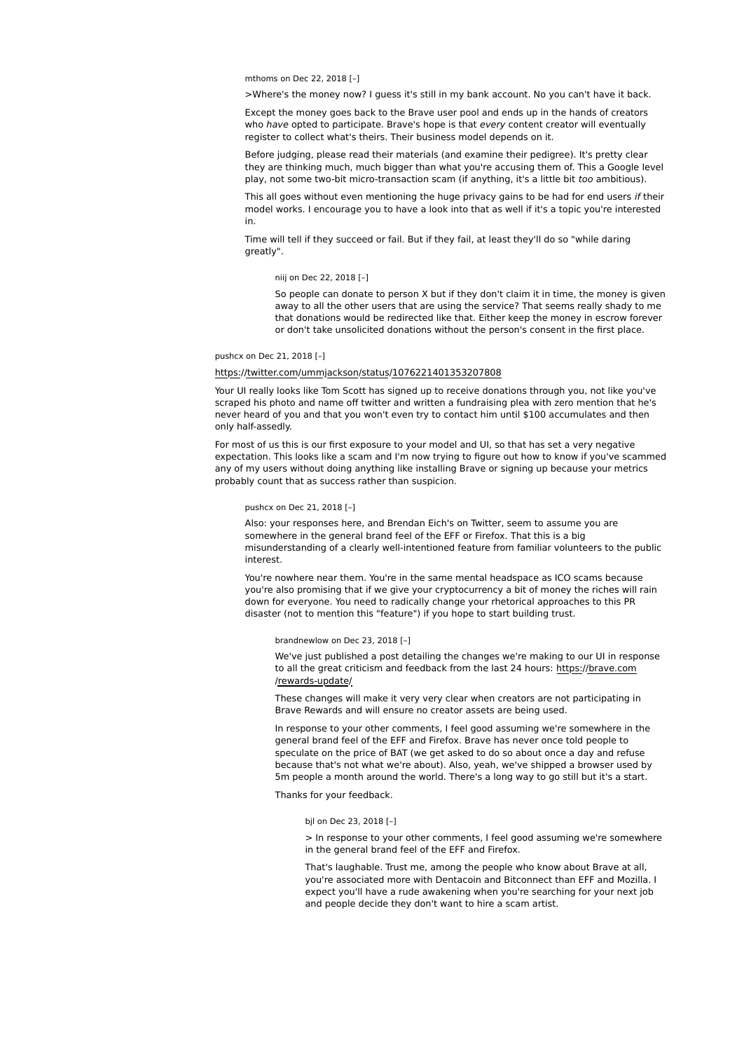mthoms on Dec 22, 2018 [–]

>Where's the money now? I guess it's still in my bank account. No you can't have it back.

Except the money goes back to the Brave user pool and ends up in the hands of creators who have opted to participate. Brave's hope is that every content creator will eventually register to collect what's theirs. Their business model depends on it.

Before judging, please read their materials (and examine their pedigree). It's pretty clear they are thinking much, much bigger than what you're accusing them of. This a Google level play, not some two-bit micro-transaction scam (if anything, it's a little bit too ambitious).

This all goes without even mentioning the huge privacy gains to be had for end users if their model works. I encourage you to have a look into that as well if it's a topic you're interested in.

Time will tell if they succeed or fail. But if they fail, at least they'll do so "while daring greatly".

### niij on Dec 22, 2018 [–]

So people can donate to person X but if they don't claim it in time, the money is given away to all the other users that are using the service? That seems really shady to me that donations would be redirected like that. Either keep the money in escrow forever or don't take unsolicited donations without the person's consent in the first place.

# pushcx on Dec 21, 2018 [–]

# https://twitter.com/ummjackson/status/1076221401353207808

Your UI really looks like Tom Scott has signed up to receive donations through you, not like you've scraped his photo and name off twitter and written a fundraising plea with zero mention that he's never heard of you and that you won't even try to contact him until \$100 accumulates and then only half-assedly.

For most of us this is our first exposure to your model and UI, so that has set a very negative expectation. This looks like a scam and I'm now trying to figure out how to know if you've scammed any of my users without doing anything like installing Brave or signing up because your metrics probably count that as success rather than suspicion.

# pushcx on Dec 21, 2018 [–]

Also: your responses here, and Brendan Eich's on Twitter, seem to assume you are somewhere in the general brand feel of the EFF or Firefox. That this is a big misunderstanding of a clearly well-intentioned feature from familiar volunteers to the public interest.

You're nowhere near them. You're in the same mental headspace as ICO scams because you're also promising that if we give your cryptocurrency a bit of money the riches will rain down for everyone. You need to radically change your rhetorical approaches to this PR disaster (not to mention this "feature") if you hope to start building trust.

### brandnewlow on Dec 23, 2018 [–]

We've just published a post detailing the changes we're making to our UI in response to all the great criticism and feedback from the last 24 hours: https://brave.com /rewards-update/

These changes will make it very very clear when creators are not participating in Brave Rewards and will ensure no creator assets are being used.

In response to your other comments, I feel good assuming we're somewhere in the general brand feel of the EFF and Firefox. Brave has never once told people to speculate on the price of BAT (we get asked to do so about once a day and refuse because that's not what we're about). Also, yeah, we've shipped a browser used by 5m people a month around the world. There's a long way to go still but it's a start.

Thanks for your feedback.

#### bjl on Dec 23, 2018 [–]

> In response to your other comments, I feel good assuming we're somewhere in the general brand feel of the EFF and Firefox.

That's laughable. Trust me, among the people who know about Brave at all, you're associated more with Dentacoin and Bitconnect than EFF and Mozilla. I expect you'll have a rude awakening when you're searching for your next job and people decide they don't want to hire a scam artist.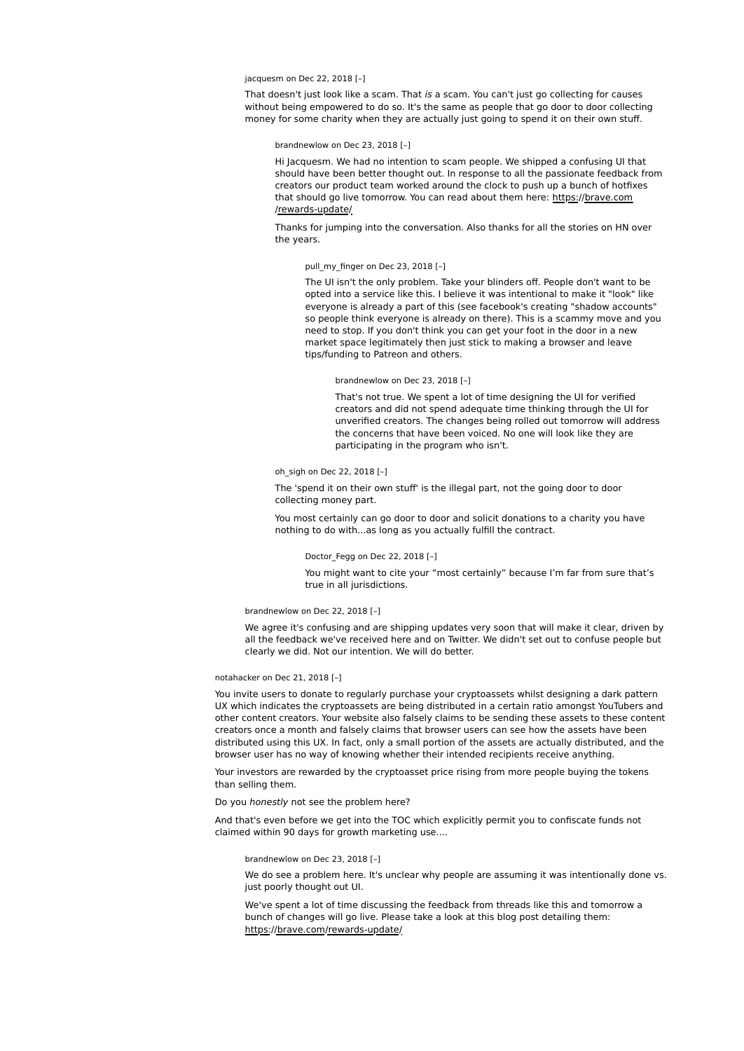# jacquesm on Dec 22, 2018 [–]

That doesn't just look like a scam. That is a scam. You can't just go collecting for causes without being empowered to do so. It's the same as people that go door to door collecting money for some charity when they are actually just going to spend it on their own stuff.

### brandnewlow on Dec 23, 2018 [–]

Hi Jacquesm. We had no intention to scam people. We shipped a confusing UI that should have been better thought out. In response to all the passionate feedback from creators our product team worked around the clock to push up a bunch of hotfixes that should go live tomorrow. You can read about them here: https://brave.com /rewards-update/

Thanks for jumping into the conversation. Also thanks for all the stories on HN over the years.

# pull my finger on Dec 23, 2018 [-]

The UI isn't the only problem. Take your blinders off. People don't want to be opted into a service like this. I believe it was intentional to make it "look" like everyone is already a part of this (see facebook's creating "shadow accounts" so people think everyone is already on there). This is a scammy move and you need to stop. If you don't think you can get your foot in the door in a new market space legitimately then just stick to making a browser and leave tips/funding to Patreon and others.

### brandnewlow on Dec 23, 2018 [–]

That's not true. We spent a lot of time designing the UI for verified creators and did not spend adequate time thinking through the UI for unverified creators. The changes being rolled out tomorrow will address the concerns that have been voiced. No one will look like they are participating in the program who isn't.

### oh\_sigh on Dec 22, 2018 [–]

The 'spend it on their own stuff' is the illegal part, not the going door to door collecting money part.

You most certainly can go door to door and solicit donations to a charity you have nothing to do with...as long as you actually fulfill the contract.

#### Doctor\_Fegg on Dec 22, 2018 [–]

You might want to cite your "most certainly" because I'm far from sure that's true in all jurisdictions.

#### brandnewlow on Dec 22, 2018 [–]

We agree it's confusing and are shipping updates very soon that will make it clear, driven by all the feedback we've received here and on Twitter. We didn't set out to confuse people but clearly we did. Not our intention. We will do better.

### notahacker on Dec 21, 2018 [–]

You invite users to donate to regularly purchase your cryptoassets whilst designing a dark pattern UX which indicates the cryptoassets are being distributed in a certain ratio amongst YouTubers and other content creators. Your website also falsely claims to be sending these assets to these content creators once a month and falsely claims that browser users can see how the assets have been distributed using this UX. In fact, only a small portion of the assets are actually distributed, and the browser user has no way of knowing whether their intended recipients receive anything.

Your investors are rewarded by the cryptoasset price rising from more people buying the tokens than selling them.

### Do you honestly not see the problem here?

And that's even before we get into the TOC which explicitly permit you to confiscate funds not claimed within 90 days for growth marketing use....

brandnewlow on Dec 23, 2018 [–]

We do see a problem here. It's unclear why people are assuming it was intentionally done vs. just poorly thought out UI.

We've spent a lot of time discussing the feedback from threads like this and tomorrow a bunch of changes will go live. Please take a look at this blog post detailing them: https://brave.com/rewards-update/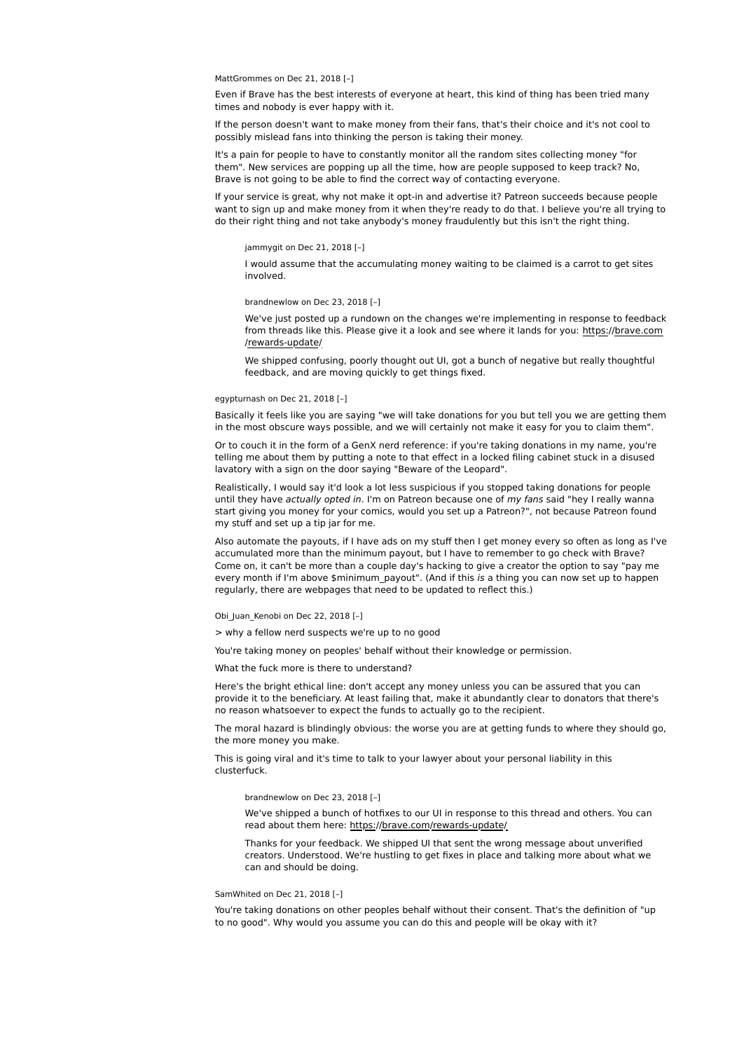MattGrommes on Dec 21, 2018 [-]

Even if Brave has the best interests of everyone at heart, this kind of thing has been tried many times and nobody is ever happy with it.

If the person doesn't want to make money from their fans, that's their choice and it's not cool to possibly mislead fans into thinking the person is taking their money.

It's a pain for people to have to constantly monitor all the random sites collecting money "for them". New services are popping up all the time, how are people supposed to keep track? No, Brave is not going to be able to find the correct way of contacting everyone.

If your service is great, why not make it opt-in and advertise it? Patreon succeeds because people want to sign up and make money from it when they're ready to do that. I believe you're all trying to do their right thing and not take anybody's money fraudulently but this isn't the right thing.

# jammygit on Dec 21, 2018 [–]

I would assume that the accumulating money waiting to be claimed is a carrot to get sites involved.

#### brandnewlow on Dec 23, 2018 [–]

We've just posted up a rundown on the changes we're implementing in response to feedback from threads like this. Please give it a look and see where it lands for you: https://brave.com /rewards-update/

We shipped confusing, poorly thought out UI, got a bunch of negative but really thoughtful feedback, and are moving quickly to get things fixed.

# egypturnash on Dec 21, 2018 [–]

Basically it feels like you are saying "we will take donations for you but tell you we are getting them in the most obscure ways possible, and we will certainly not make it easy for you to claim them".

Or to couch it in the form of a GenX nerd reference: if you're taking donations in my name, you're telling me about them by putting a note to that effect in a locked filing cabinet stuck in a disused lavatory with a sign on the door saying "Beware of the Leopard".

Realistically, I would say it'd look a lot less suspicious if you stopped taking donations for people until they have actually opted in. I'm on Patreon because one of my fans said "hey I really wanna start giving you money for your comics, would you set up a Patreon?", not because Patreon found my stuff and set up a tip jar for me.

Also automate the payouts, if I have ads on my stuff then I get money every so often as long as I've accumulated more than the minimum payout, but I have to remember to go check with Brave? Come on, it can't be more than a couple day's hacking to give a creator the option to say "pay me every month if I'm above \$minimum payout". (And if this is a thing you can now set up to happen regularly, there are webpages that need to be updated to reflect this.)

Obi Juan Kenobi on Dec 22, 2018 [-]

> why a fellow nerd suspects we're up to no good

You're taking money on peoples' behalf without their knowledge or permission.

What the fuck more is there to understand?

Here's the bright ethical line: don't accept any money unless you can be assured that you can provide it to the beneficiary. At least failing that, make it abundantly clear to donators that there's no reason whatsoever to expect the funds to actually go to the recipient.

The moral hazard is blindingly obvious: the worse you are at getting funds to where they should go, the more money you make.

This is going viral and it's time to talk to your lawyer about your personal liability in this clusterfuck.

#### brandnewlow on Dec 23, 2018 [–]

We've shipped a bunch of hotfixes to our UI in response to this thread and others. You can read about them here: https://brave.com/rewards-update/

Thanks for your feedback. We shipped UI that sent the wrong message about unverified creators. Understood. We're hustling to get fixes in place and talking more about what we can and should be doing.

# SamWhited on Dec 21, 2018 [–]

You're taking donations on other peoples behalf without their consent. That's the definition of "up to no good". Why would you assume you can do this and people will be okay with it?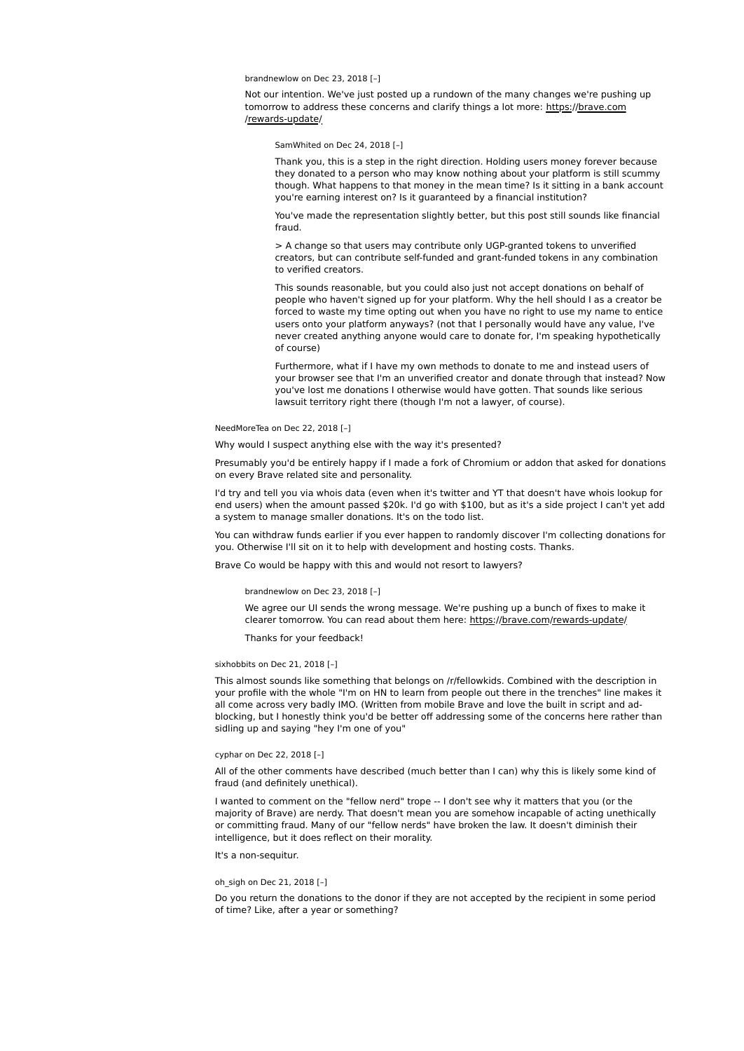### brandnewlow on Dec 23, 2018 [–]

Not our intention. We've just posted up a rundown of the many changes we're pushing up tomorrow to address these concerns and clarify things a lot more: https://brave.com /rewards-update/

SamWhited on Dec 24, 2018 [–]

Thank you, this is a step in the right direction. Holding users money forever because they donated to a person who may know nothing about your platform is still scummy though. What happens to that money in the mean time? Is it sitting in a bank account you're earning interest on? Is it guaranteed by a financial institution?

You've made the representation slightly better, but this post still sounds like financial fraud.

> A change so that users may contribute only UGP-granted tokens to unverified creators, but can contribute self-funded and grant-funded tokens in any combination to verified creators.

This sounds reasonable, but you could also just not accept donations on behalf of people who haven't signed up for your platform. Why the hell should I as a creator be forced to waste my time opting out when you have no right to use my name to entice users onto your platform anyways? (not that I personally would have any value, I've never created anything anyone would care to donate for, I'm speaking hypothetically of course)

Furthermore, what if I have my own methods to donate to me and instead users of your browser see that I'm an unverified creator and donate through that instead? Now you've lost me donations I otherwise would have gotten. That sounds like serious lawsuit territory right there (though I'm not a lawyer, of course).

### NeedMoreTea on Dec 22, 2018 [–]

Why would I suspect anything else with the way it's presented?

Presumably you'd be entirely happy if I made a fork of Chromium or addon that asked for donations on every Brave related site and personality.

I'd try and tell you via whois data (even when it's twitter and YT that doesn't have whois lookup for end users) when the amount passed \$20k. I'd go with \$100, but as it's a side project I can't yet add a system to manage smaller donations. It's on the todo list.

You can withdraw funds earlier if you ever happen to randomly discover I'm collecting donations for you. Otherwise I'll sit on it to help with development and hosting costs. Thanks.

Brave Co would be happy with this and would not resort to lawyers?

#### brandnewlow on Dec 23, 2018 [–]

We agree our UI sends the wrong message. We're pushing up a bunch of fixes to make it clearer tomorrow. You can read about them here: https://brave.com/rewards-update/

Thanks for your feedback!

#### sixhobbits on Dec 21, 2018 [–]

This almost sounds like something that belongs on /r/fellowkids. Combined with the description in your profile with the whole "I'm on HN to learn from people out there in the trenches" line makes it all come across very badly IMO. (Written from mobile Brave and love the built in script and adblocking, but I honestly think you'd be better off addressing some of the concerns here rather than sidling up and saying "hey I'm one of you"

#### cyphar on Dec 22, 2018 [–]

All of the other comments have described (much better than I can) why this is likely some kind of fraud (and definitely unethical).

I wanted to comment on the "fellow nerd" trope -- I don't see why it matters that you (or the majority of Brave) are nerdy. That doesn't mean you are somehow incapable of acting unethically or committing fraud. Many of our "fellow nerds" have broken the law. It doesn't diminish their intelligence, but it does reflect on their morality.

It's a non-sequitur.

# oh\_sigh on Dec 21, 2018 [–]

Do you return the donations to the donor if they are not accepted by the recipient in some period of time? Like, after a year or something?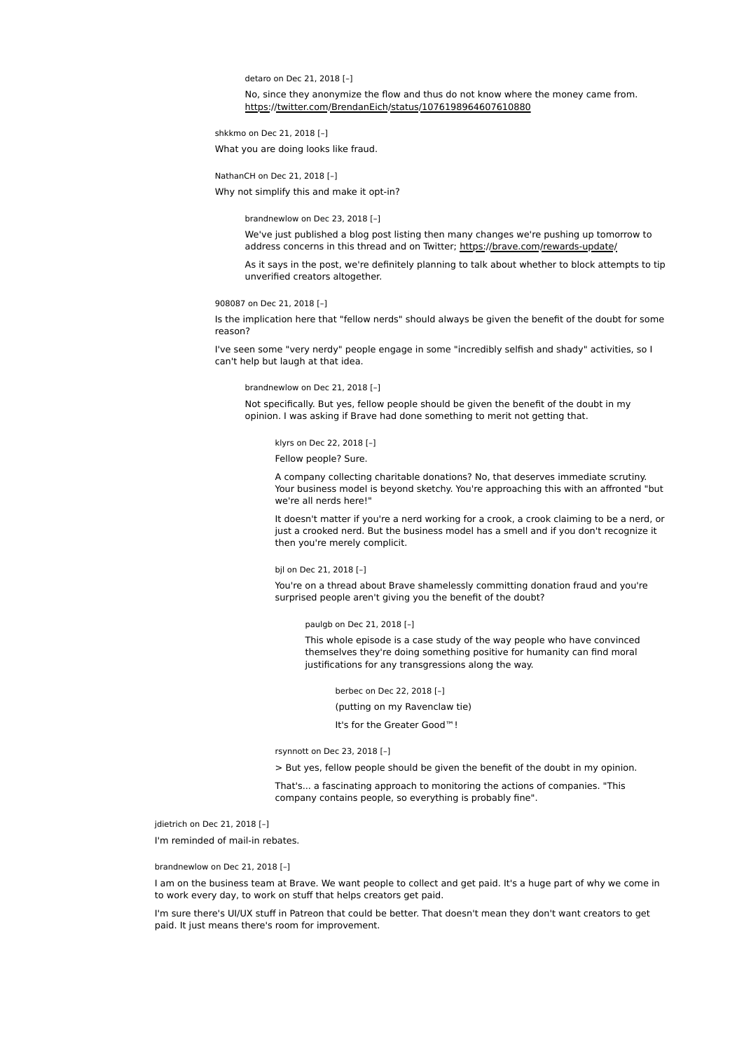detaro on Dec 21, 2018 [–]

No, since they anonymize the flow and thus do not know where the money came from. https://twitter.com/BrendanEich/status/1076198964607610880

shkkmo on Dec 21, 2018 [–]

What you are doing looks like fraud.

NathanCH on Dec 21, 2018 [–]

Why not simplify this and make it opt-in?

brandnewlow on Dec 23, 2018 [–]

We've just published a blog post listing then many changes we're pushing up tomorrow to address concerns in this thread and on Twitter; https://brave.com/rewards-update/

As it says in the post, we're definitely planning to talk about whether to block attempts to tip unverified creators altogether.

908087 on Dec 21, 2018 [–]

Is the implication here that "fellow nerds" should always be given the benefit of the doubt for some reason?

I've seen some "very nerdy" people engage in some "incredibly selfish and shady" activities, so I can't help but laugh at that idea.

brandnewlow on Dec 21, 2018 [–]

Not specifically. But yes, fellow people should be given the benefit of the doubt in my opinion. I was asking if Brave had done something to merit not getting that.

klyrs on Dec 22, 2018 [–]

Fellow people? Sure.

A company collecting charitable donations? No, that deserves immediate scrutiny. Your business model is beyond sketchy. You're approaching this with an affronted "but we're all nerds here!"

It doesn't matter if you're a nerd working for a crook, a crook claiming to be a nerd, or just a crooked nerd. But the business model has a smell and if you don't recognize it then you're merely complicit.

bjl on Dec 21, 2018 [–]

You're on a thread about Brave shamelessly committing donation fraud and you're surprised people aren't giving you the benefit of the doubt?

paulgb on Dec 21, 2018 [–]

This whole episode is a case study of the way people who have convinced themselves they're doing something positive for humanity can find moral justifications for any transgressions along the way.

berbec on Dec 22, 2018 [–] (putting on my Ravenclaw tie) It's for the Greater Good™!

rsynnott on Dec 23, 2018 [–]

> But yes, fellow people should be given the benefit of the doubt in my opinion.

That's... a fascinating approach to monitoring the actions of companies. "This company contains people, so everything is probably fine".

jdietrich on Dec 21, 2018 [–]

I'm reminded of mail-in rebates.

brandnewlow on Dec 21, 2018 [–]

I am on the business team at Brave. We want people to collect and get paid. It's a huge part of why we come in to work every day, to work on stuff that helps creators get paid.

I'm sure there's UI/UX stuff in Patreon that could be better. That doesn't mean they don't want creators to get paid. It just means there's room for improvement.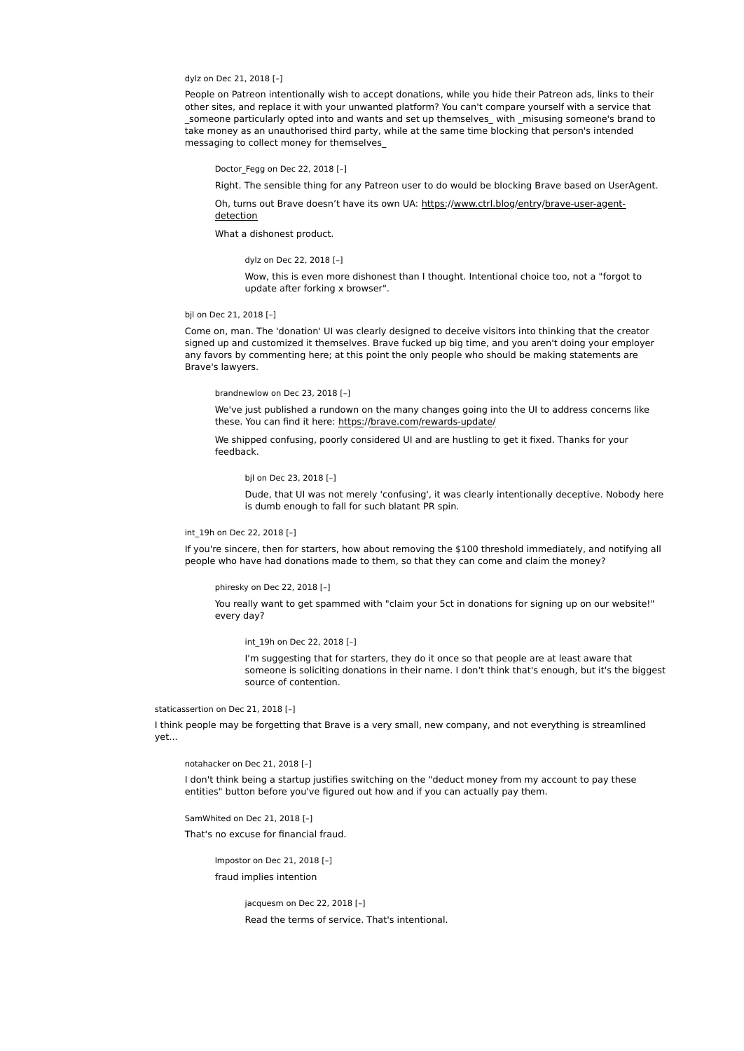# dylz on Dec 21, 2018 [–]

People on Patreon intentionally wish to accept donations, while you hide their Patreon ads, links to their other sites, and replace it with your unwanted platform? You can't compare yourself with a service that someone particularly opted into and wants and set up themselves with misusing someone's brand to take money as an unauthorised third party, while at the same time blocking that person's intended messaging to collect money for themselves\_

Doctor\_Fegg on Dec 22, 2018 [–]

Right. The sensible thing for any Patreon user to do would be blocking Brave based on UserAgent.

Oh, turns out Brave doesn't have its own UA: https://www.ctrl.blog/entry/brave-user-agentdetection

What a dishonest product.

### dylz on Dec 22, 2018 [–]

Wow, this is even more dishonest than I thought. Intentional choice too, not a "forgot to update after forking x browser".

### bjl on Dec 21, 2018 [–]

Come on, man. The 'donation' UI was clearly designed to deceive visitors into thinking that the creator signed up and customized it themselves. Brave fucked up big time, and you aren't doing your employer any favors by commenting here; at this point the only people who should be making statements are Brave's lawyers.

### brandnewlow on Dec 23, 2018 [–]

We've just published a rundown on the many changes going into the UI to address concerns like these. You can find it here: https://brave.com/rewards-update/

We shipped confusing, poorly considered UI and are hustling to get it fixed. Thanks for your feedback.

#### bjl on Dec 23, 2018 [–]

Dude, that UI was not merely 'confusing', it was clearly intentionally deceptive. Nobody here is dumb enough to fall for such blatant PR spin.

# int\_19h on Dec 22, 2018 [–]

If you're sincere, then for starters, how about removing the \$100 threshold immediately, and notifying all people who have had donations made to them, so that they can come and claim the money?

#### phiresky on Dec 22, 2018 [–]

You really want to get spammed with "claim your 5ct in donations for signing up on our website!" every day?

int\_19h on Dec 22, 2018 [–]

I'm suggesting that for starters, they do it once so that people are at least aware that someone is soliciting donations in their name. I don't think that's enough, but it's the biggest source of contention.

# staticassertion on Dec 21, 2018 [–]

I think people may be forgetting that Brave is a very small, new company, and not everything is streamlined yet...

### notahacker on Dec 21, 2018 [–]

I don't think being a startup justifies switching on the "deduct money from my account to pay these entities" button before you've figured out how and if you can actually pay them.

SamWhited on Dec 21, 2018 [–] That's no excuse for financial fraud.

> lmpostor on Dec 21, 2018 [–] fraud implies intention

> > jacquesm on Dec 22, 2018 [–] Read the terms of service. That's intentional.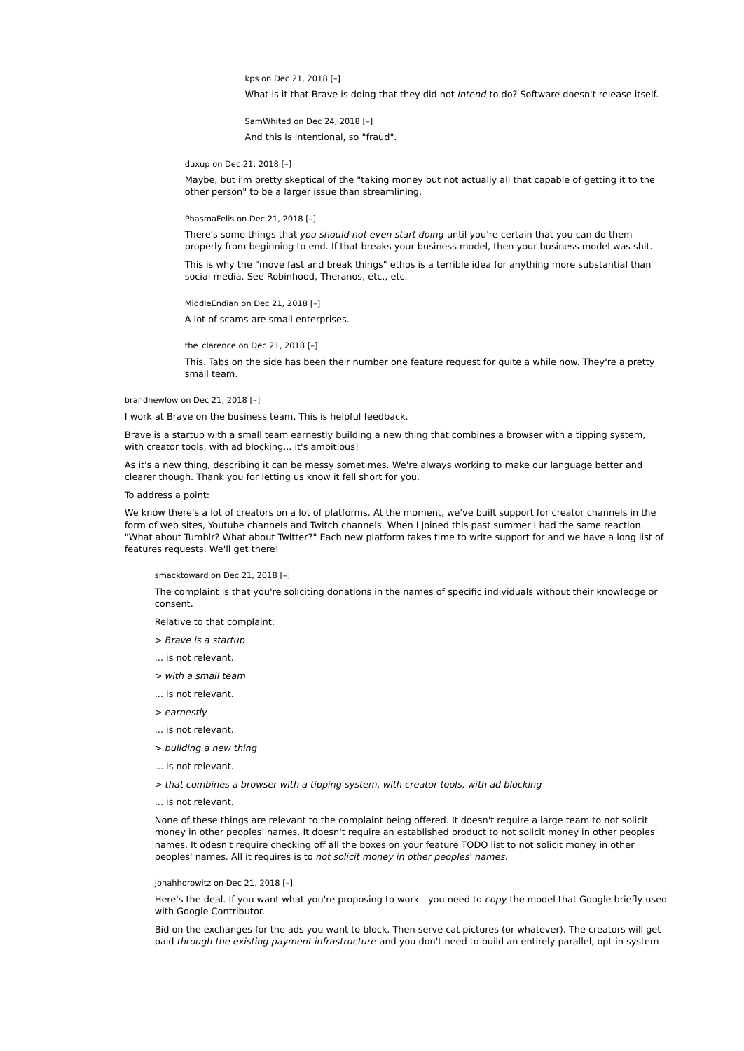kps on Dec 21, 2018 [-]

What is it that Brave is doing that they did not intend to do? Software doesn't release itself.

SamWhited on Dec 24, 2018 [–] And this is intentional, so "fraud".

duxup on Dec 21, 2018 [–]

Maybe, but i'm pretty skeptical of the "taking money but not actually all that capable of getting it to the other person" to be a larger issue than streamlining.

PhasmaFelis on Dec 21, 2018 [–]

There's some things that you should not even start doing until you're certain that you can do them properly from beginning to end. If that breaks your business model, then your business model was shit.

This is why the "move fast and break things" ethos is a terrible idea for anything more substantial than social media. See Robinhood, Theranos, etc., etc.

MiddleEndian on Dec 21, 2018 [–]

A lot of scams are small enterprises.

the\_clarence on Dec 21, 2018 [–]

This. Tabs on the side has been their number one feature request for quite a while now. They're a pretty small team.

### brandnewlow on Dec 21, 2018 [–]

I work at Brave on the business team. This is helpful feedback.

Brave is a startup with a small team earnestly building a new thing that combines a browser with a tipping system, with creator tools, with ad blocking... it's ambitious!

As it's a new thing, describing it can be messy sometimes. We're always working to make our language better and clearer though. Thank you for letting us know it fell short for you.

### To address a point:

We know there's a lot of creators on a lot of platforms. At the moment, we've built support for creator channels in the form of web sites, Youtube channels and Twitch channels. When I joined this past summer I had the same reaction. "What about Tumblr? What about Twitter?" Each new platform takes time to write support for and we have a long list of features requests. We'll get there!

smacktoward on Dec 21, 2018 [–]

The complaint is that you're soliciting donations in the names of specific individuals without their knowledge or consent.

Relative to that complaint:

- > Brave is a startup
- ... is not relevant.
- > with a small team
- ... is not relevant.
- > earnestly
- ... is not relevant.
- > building a new thing
- ... is not relevant.
- > that combines a browser with a tipping system, with creator tools, with ad blocking
- ... is not relevant.

None of these things are relevant to the complaint being offered. It doesn't require a large team to not solicit money in other peoples' names. It doesn't require an established product to not solicit money in other peoples' names. It odesn't require checking off all the boxes on your feature TODO list to not solicit money in other peoples' names. All it requires is to not solicit money in other peoples' names.

# jonahhorowitz on Dec 21, 2018 [–]

Here's the deal. If you want what you're proposing to work - you need to copy the model that Google briefly used with Google Contributor.

Bid on the exchanges for the ads you want to block. Then serve cat pictures (or whatever). The creators will get paid through the existing payment infrastructure and you don't need to build an entirely parallel, opt-in system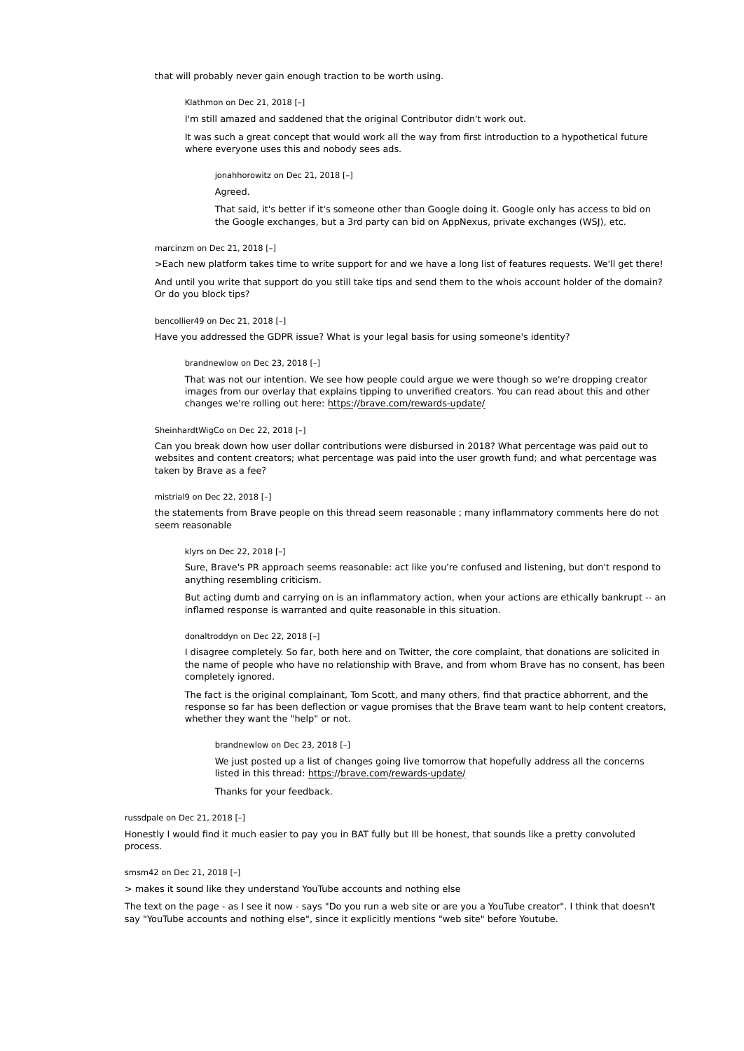that will probably never gain enough traction to be worth using.

Klathmon on Dec 21, 2018 [–]

I'm still amazed and saddened that the original Contributor didn't work out.

It was such a great concept that would work all the way from first introduction to a hypothetical future where everyone uses this and nobody sees ads.

jonahhorowitz on Dec 21, 2018 [–]

Agreed.

That said, it's better if it's someone other than Google doing it. Google only has access to bid on the Google exchanges, but a 3rd party can bid on AppNexus, private exchanges (WSJ), etc.

### marcinzm on Dec 21, 2018 [–]

>Each new platform takes time to write support for and we have a long list of features requests. We'll get there!

And until you write that support do you still take tips and send them to the whois account holder of the domain? Or do you block tips?

#### bencollier49 on Dec 21, 2018 [–]

Have you addressed the GDPR issue? What is your legal basis for using someone's identity?

#### brandnewlow on Dec 23, 2018 [–]

That was not our intention. We see how people could argue we were though so we're dropping creator images from our overlay that explains tipping to unverified creators. You can read about this and other changes we're rolling out here: https://brave.com/rewards-update/

#### SheinhardtWigCo on Dec 22, 2018 [–]

Can you break down how user dollar contributions were disbursed in 2018? What percentage was paid out to websites and content creators; what percentage was paid into the user growth fund; and what percentage was taken by Brave as a fee?

### mistrial9 on Dec 22, 2018 [–]

the statements from Brave people on this thread seem reasonable ; many inflammatory comments here do not seem reasonable

#### klyrs on Dec 22, 2018 [–]

Sure, Brave's PR approach seems reasonable: act like you're confused and listening, but don't respond to anything resembling criticism.

But acting dumb and carrying on is an inflammatory action, when your actions are ethically bankrupt -- an inflamed response is warranted and quite reasonable in this situation.

#### donaltroddyn on Dec 22, 2018 [–]

I disagree completely. So far, both here and on Twitter, the core complaint, that donations are solicited in the name of people who have no relationship with Brave, and from whom Brave has no consent, has been completely ignored.

The fact is the original complainant, Tom Scott, and many others, find that practice abhorrent, and the response so far has been deflection or vague promises that the Brave team want to help content creators, whether they want the "help" or not.

### brandnewlow on Dec 23, 2018 [–]

We just posted up a list of changes going live tomorrow that hopefully address all the concerns listed in this thread: https://brave.com/rewards-update/

Thanks for your feedback.

# russdpale on Dec 21, 2018 [–]

Honestly I would find it much easier to pay you in BAT fully but Ill be honest, that sounds like a pretty convoluted process.

# smsm42 on Dec 21, 2018 [–]

> makes it sound like they understand YouTube accounts and nothing else

The text on the page - as I see it now - says "Do you run a web site or are you a YouTube creator". I think that doesn't say "YouTube accounts and nothing else", since it explicitly mentions "web site" before Youtube.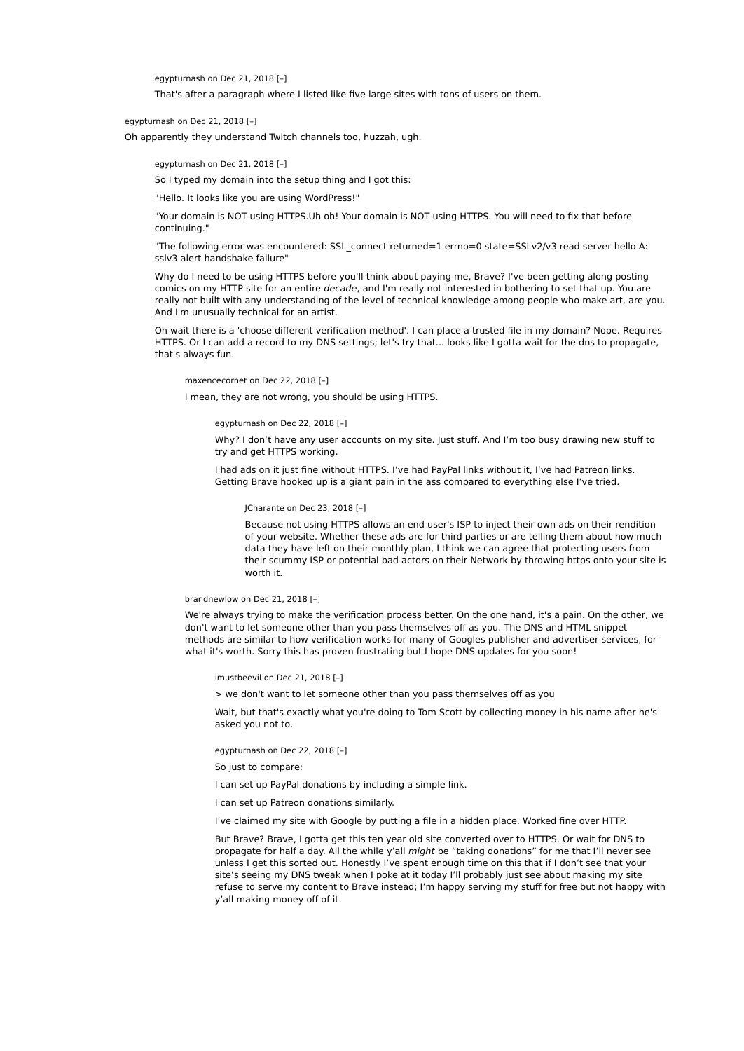egypturnash on Dec 21, 2018 [–]

That's after a paragraph where I listed like five large sites with tons of users on them.

egypturnash on Dec 21, 2018 [–]

Oh apparently they understand Twitch channels too, huzzah, ugh.

egypturnash on Dec 21, 2018 [–]

So I typed my domain into the setup thing and I got this:

"Hello. It looks like you are using WordPress!"

"Your domain is NOT using HTTPS.Uh oh! Your domain is NOT using HTTPS. You will need to fix that before continuing."

"The following error was encountered: SSL\_connect returned=1 errno=0 state=SSLv2/v3 read server hello A: sslv3 alert handshake failure"

Why do I need to be using HTTPS before you'll think about paying me, Brave? I've been getting along posting comics on my HTTP site for an entire *decade*, and I'm really not interested in bothering to set that up. You are really not built with any understanding of the level of technical knowledge among people who make art, are you. And I'm unusually technical for an artist.

Oh wait there is a 'choose different verification method'. I can place a trusted file in my domain? Nope. Requires HTTPS. Or I can add a record to my DNS settings; let's try that... looks like I gotta wait for the dns to propagate, that's always fun.

maxencecornet on Dec 22, 2018 [–]

I mean, they are not wrong, you should be using HTTPS.

egypturnash on Dec 22, 2018 [–]

Why? I don't have any user accounts on my site. Just stuff. And I'm too busy drawing new stuff to try and get HTTPS working.

I had ads on it just fine without HTTPS. I've had PayPal links without it, I've had Patreon links. Getting Brave hooked up is a giant pain in the ass compared to everything else I've tried.

JCharante on Dec 23, 2018 [–]

Because not using HTTPS allows an end user's ISP to inject their own ads on their rendition of your website. Whether these ads are for third parties or are telling them about how much data they have left on their monthly plan, I think we can agree that protecting users from their scummy ISP or potential bad actors on their Network by throwing https onto your site is worth it.

### brandnewlow on Dec 21, 2018 [–]

We're always trying to make the verification process better. On the one hand, it's a pain. On the other, we don't want to let someone other than you pass themselves off as you. The DNS and HTML snippet methods are similar to how verification works for many of Googles publisher and advertiser services, for what it's worth. Sorry this has proven frustrating but I hope DNS updates for you soon!

imustbeevil on Dec 21, 2018 [–]

> we don't want to let someone other than you pass themselves off as you

Wait, but that's exactly what you're doing to Tom Scott by collecting money in his name after he's asked you not to.

egypturnash on Dec 22, 2018 [–]

So just to compare:

I can set up PayPal donations by including a simple link.

I can set up Patreon donations similarly.

I've claimed my site with Google by putting a file in a hidden place. Worked fine over HTTP.

But Brave? Brave, I gotta get this ten year old site converted over to HTTPS. Or wait for DNS to propagate for half a day. All the while y'all might be "taking donations" for me that I'll never see unless I get this sorted out. Honestly I've spent enough time on this that if I don't see that your site's seeing my DNS tweak when I poke at it today I'll probably just see about making my site refuse to serve my content to Brave instead; I'm happy serving my stuff for free but not happy with y'all making money off of it.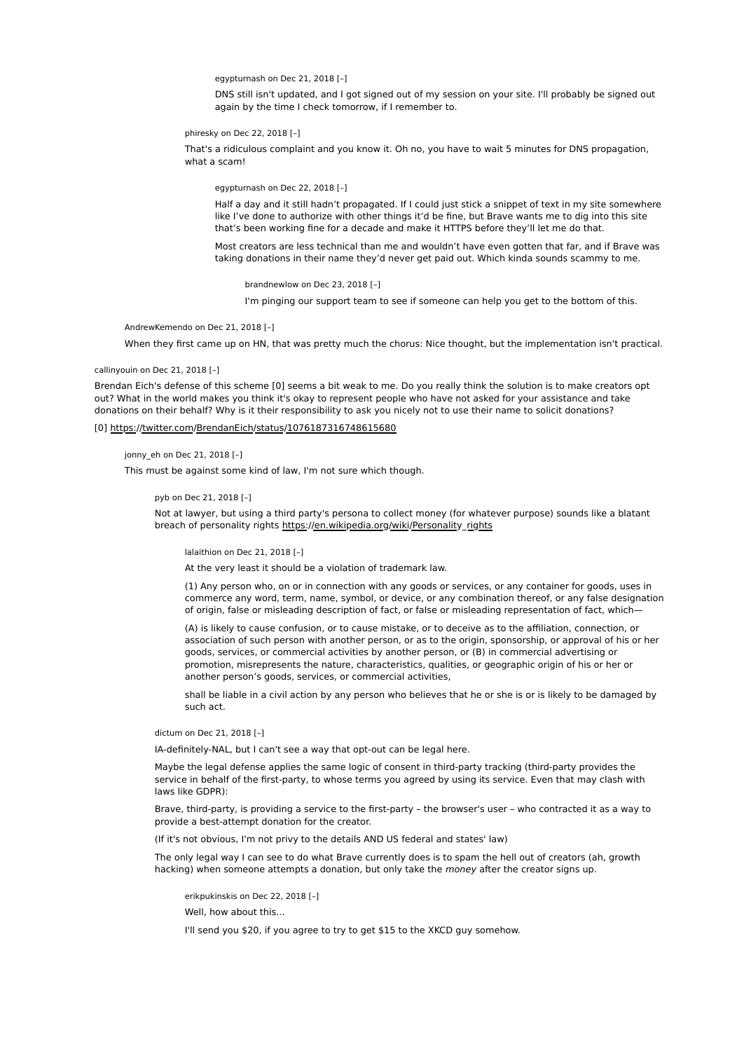egypturnash on Dec 21, 2018 [–]

DNS still isn't updated, and I got signed out of my session on your site. I'll probably be signed out again by the time I check tomorrow, if I remember to.

phiresky on Dec 22, 2018 [–]

That's a ridiculous complaint and you know it. Oh no, you have to wait 5 minutes for DNS propagation, what a scam!

egypturnash on Dec 22, 2018 [–]

Half a day and it still hadn't propagated. If I could just stick a snippet of text in my site somewhere like I've done to authorize with other things it'd be fine, but Brave wants me to dig into this site that's been working fine for a decade and make it HTTPS before they'll let me do that.

Most creators are less technical than me and wouldn't have even gotten that far, and if Brave was taking donations in their name they'd never get paid out. Which kinda sounds scammy to me.

brandnewlow on Dec 23, 2018 [–]

I'm pinging our support team to see if someone can help you get to the bottom of this.

AndrewKemendo on Dec 21, 2018 [–]

When they first came up on HN, that was pretty much the chorus: Nice thought, but the implementation isn't practical.

callinyouin on Dec 21, 2018 [–]

Brendan Eich's defense of this scheme [0] seems a bit weak to me. Do you really think the solution is to make creators opt out? What in the world makes you think it's okay to represent people who have not asked for your assistance and take donations on their behalf? Why is it their responsibility to ask you nicely not to use their name to solicit donations?

[0] https://twitter.com/BrendanEich/status/1076187316748615680

jonny eh on Dec 21, 2018 [-]

This must be against some kind of law, I'm not sure which though.

### pyb on Dec 21, 2018 [–]

Not at lawyer, but using a third party's persona to collect money (for whatever purpose) sounds like a blatant breach of personality rights https://en.wikipedia.org/wiki/Personality\_rights

lalaithion on Dec 21, 2018 [–]

At the very least it should be a violation of trademark law.

(1) Any person who, on or in connection with any goods or services, or any container for goods, uses in commerce any word, term, name, symbol, or device, or any combination thereof, or any false designation of origin, false or misleading description of fact, or false or misleading representation of fact, which—

(A) is likely to cause confusion, or to cause mistake, or to deceive as to the affiliation, connection, or association of such person with another person, or as to the origin, sponsorship, or approval of his or her goods, services, or commercial activities by another person, or (B) in commercial advertising or promotion, misrepresents the nature, characteristics, qualities, or geographic origin of his or her or another person's goods, services, or commercial activities,

shall be liable in a civil action by any person who believes that he or she is or is likely to be damaged by such act.

dictum on Dec 21, 2018 [–]

IA-definitely-NAL, but I can't see a way that opt-out can be legal here.

Maybe the legal defense applies the same logic of consent in third-party tracking (third-party provides the service in behalf of the first-party, to whose terms you agreed by using its service. Even that may clash with laws like GDPR):

Brave, third-party, is providing a service to the first-party – the browser's user – who contracted it as a way to provide a best-attempt donation for the creator.

(If it's not obvious, I'm not privy to the details AND US federal and states' law)

The only legal way I can see to do what Brave currently does is to spam the hell out of creators (ah, growth hacking) when someone attempts a donation, but only take the money after the creator signs up.

erikpukinskis on Dec 22, 2018 [–]

Well, how about this...

I'll send you \$20, if you agree to try to get \$15 to the XKCD guy somehow.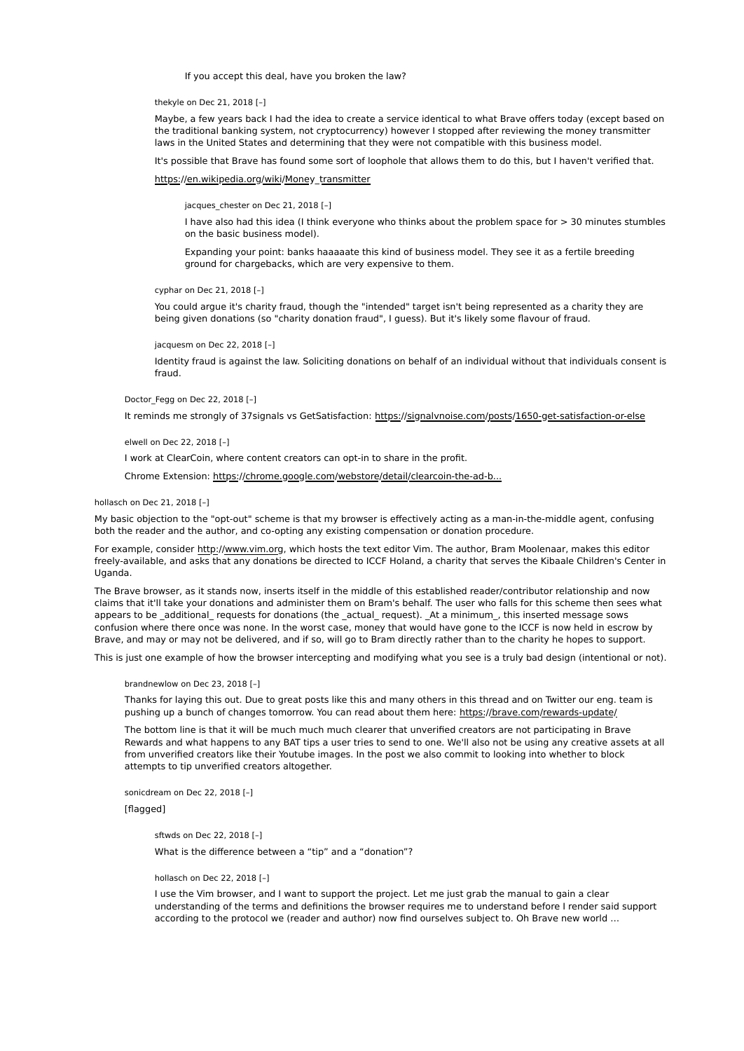If you accept this deal, have you broken the law?

thekyle on Dec 21, 2018 [–]

Maybe, a few years back I had the idea to create a service identical to what Brave offers today (except based on the traditional banking system, not cryptocurrency) however I stopped after reviewing the money transmitter laws in the United States and determining that they were not compatible with this business model.

It's possible that Brave has found some sort of loophole that allows them to do this, but I haven't verified that.

https://en.wikipedia.org/wiki/Money\_transmitter

jacques\_chester on Dec 21, 2018 [-]

I have also had this idea (I think everyone who thinks about the problem space for > 30 minutes stumbles on the basic business model).

Expanding your point: banks haaaaate this kind of business model. They see it as a fertile breeding ground for chargebacks, which are very expensive to them.

cyphar on Dec 21, 2018 [–]

You could argue it's charity fraud, though the "intended" target isn't being represented as a charity they are being given donations (so "charity donation fraud", I guess). But it's likely some flavour of fraud.

jacquesm on Dec 22, 2018 [–]

Identity fraud is against the law. Soliciting donations on behalf of an individual without that individuals consent is fraud.

# Doctor Fegg on Dec 22, 2018 [-]

It reminds me strongly of 37signals vs GetSatisfaction: https://signalvnoise.com/posts/1650-get-satisfaction-or-else

elwell on Dec 22, 2018 [–]

I work at ClearCoin, where content creators can opt-in to share in the profit.

Chrome Extension: https://chrome.google.com/webstore/detail/clearcoin-the-ad-b...

### hollasch on Dec 21, 2018 [–]

My basic objection to the "opt-out" scheme is that my browser is effectively acting as a man-in-the-middle agent, confusing both the reader and the author, and co-opting any existing compensation or donation procedure.

For example, consider http://www.vim.org, which hosts the text editor Vim. The author, Bram Moolenaar, makes this editor freely-available, and asks that any donations be directed to ICCF Holand, a charity that serves the Kibaale Children's Center in Uganda.

The Brave browser, as it stands now, inserts itself in the middle of this established reader/contributor relationship and now claims that it'll take your donations and administer them on Bram's behalf. The user who falls for this scheme then sees what appears to be \_additional requests for donations (the \_actual request). At a minimum , this inserted message sows confusion where there once was none. In the worst case, money that would have gone to the ICCF is now held in escrow by Brave, and may or may not be delivered, and if so, will go to Bram directly rather than to the charity he hopes to support.

This is just one example of how the browser intercepting and modifying what you see is a truly bad design (intentional or not).

brandnewlow on Dec 23, 2018 [–]

Thanks for laying this out. Due to great posts like this and many others in this thread and on Twitter our eng. team is pushing up a bunch of changes tomorrow. You can read about them here: https://brave.com/rewards-update/

The bottom line is that it will be much much much clearer that unverified creators are not participating in Brave Rewards and what happens to any BAT tips a user tries to send to one. We'll also not be using any creative assets at all from unverified creators like their Youtube images. In the post we also commit to looking into whether to block attempts to tip unverified creators altogether.

sonicdream on Dec 22, 2018 [–]

[flagged]

sftwds on Dec 22, 2018 [–] What is the difference between a "tip" and a "donation"?

#### hollasch on Dec 22, 2018 [–]

I use the Vim browser, and I want to support the project. Let me just grab the manual to gain a clear understanding of the terms and definitions the browser requires me to understand before I render said support according to the protocol we (reader and author) now find ourselves subject to. Oh Brave new world …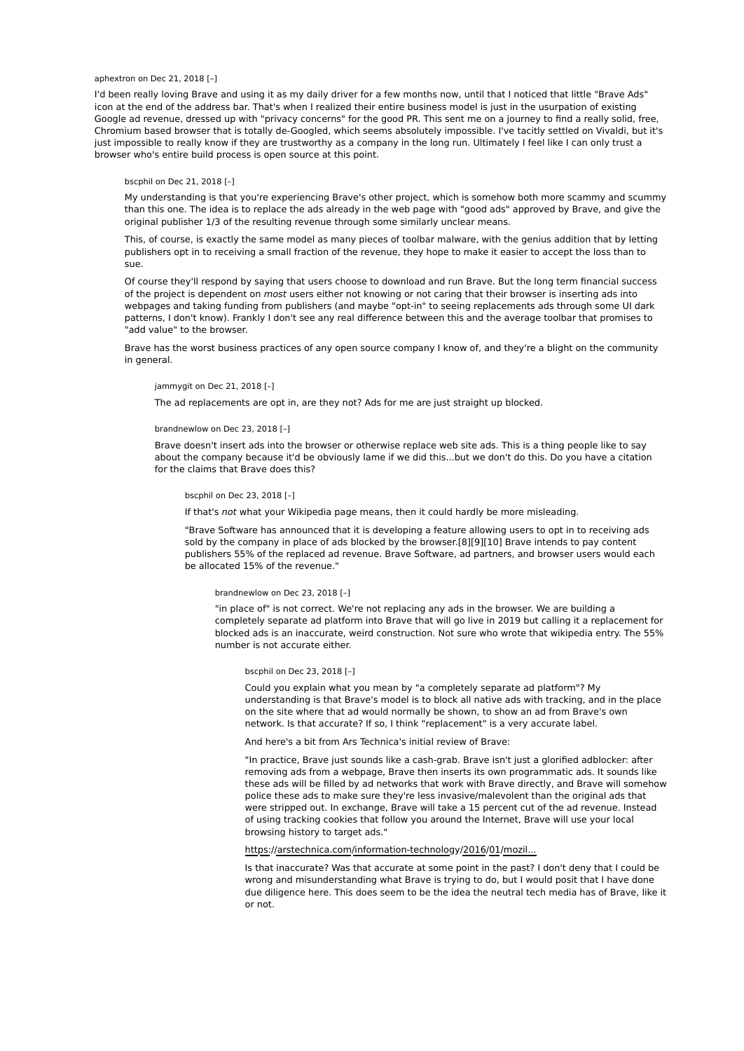### aphextron on Dec 21, 2018 [–]

I'd been really loving Brave and using it as my daily driver for a few months now, until that I noticed that little "Brave Ads" icon at the end of the address bar. That's when I realized their entire business model is just in the usurpation of existing Google ad revenue, dressed up with "privacy concerns" for the good PR. This sent me on a journey to find a really solid, free, Chromium based browser that is totally de-Googled, which seems absolutely impossible. I've tacitly settled on Vivaldi, but it's just impossible to really know if they are trustworthy as a company in the long run. Ultimately I feel like I can only trust a browser who's entire build process is open source at this point.

# bscphil on Dec 21, 2018 [–]

My understanding is that you're experiencing Brave's other project, which is somehow both more scammy and scummy than this one. The idea is to replace the ads already in the web page with "good ads" approved by Brave, and give the original publisher 1/3 of the resulting revenue through some similarly unclear means.

This, of course, is exactly the same model as many pieces of toolbar malware, with the genius addition that by letting publishers opt in to receiving a small fraction of the revenue, they hope to make it easier to accept the loss than to sue.

Of course they'll respond by saying that users choose to download and run Brave. But the long term financial success of the project is dependent on *most* users either not knowing or not caring that their browser is inserting ads into webpages and taking funding from publishers (and maybe "opt-in" to seeing replacements ads through some UI dark patterns, I don't know). Frankly I don't see any real difference between this and the average toolbar that promises to "add value" to the browser.

Brave has the worst business practices of any open source company I know of, and they're a blight on the community in general.

# jammygit on Dec 21, 2018 [–]

The ad replacements are opt in, are they not? Ads for me are just straight up blocked.

#### brandnewlow on Dec 23, 2018 [–]

Brave doesn't insert ads into the browser or otherwise replace web site ads. This is a thing people like to say about the company because it'd be obviously lame if we did this...but we don't do this. Do you have a citation for the claims that Brave does this?

### bscphil on Dec 23, 2018 [–]

If that's not what your Wikipedia page means, then it could hardly be more misleading.

"Brave Software has announced that it is developing a feature allowing users to opt in to receiving ads sold by the company in place of ads blocked by the browser.[8][9][10] Brave intends to pay content publishers 55% of the replaced ad revenue. Brave Software, ad partners, and browser users would each be allocated 15% of the revenue."

### brandnewlow on Dec 23, 2018 [–]

"in place of" is not correct. We're not replacing any ads in the browser. We are building a completely separate ad platform into Brave that will go live in 2019 but calling it a replacement for blocked ads is an inaccurate, weird construction. Not sure who wrote that wikipedia entry. The 55% number is not accurate either.

#### bscphil on Dec 23, 2018 [–]

Could you explain what you mean by "a completely separate ad platform"? My understanding is that Brave's model is to block all native ads with tracking, and in the place on the site where that ad would normally be shown, to show an ad from Brave's own network. Is that accurate? If so, I think "replacement" is a very accurate label.

### And here's a bit from Ars Technica's initial review of Brave:

"In practice, Brave just sounds like a cash-grab. Brave isn't just a glorified adblocker: after removing ads from a webpage, Brave then inserts its own programmatic ads. It sounds like these ads will be filled by ad networks that work with Brave directly, and Brave will somehow police these ads to make sure they're less invasive/malevolent than the original ads that were stripped out. In exchange, Brave will take a 15 percent cut of the ad revenue. Instead of using tracking cookies that follow you around the Internet, Brave will use your local browsing history to target ads."

### https://arstechnica.com/information-technology/2016/01/mozil...

Is that inaccurate? Was that accurate at some point in the past? I don't deny that I could be wrong and misunderstanding what Brave is trying to do, but I would posit that I have done due diligence here. This does seem to be the idea the neutral tech media has of Brave, like it or not.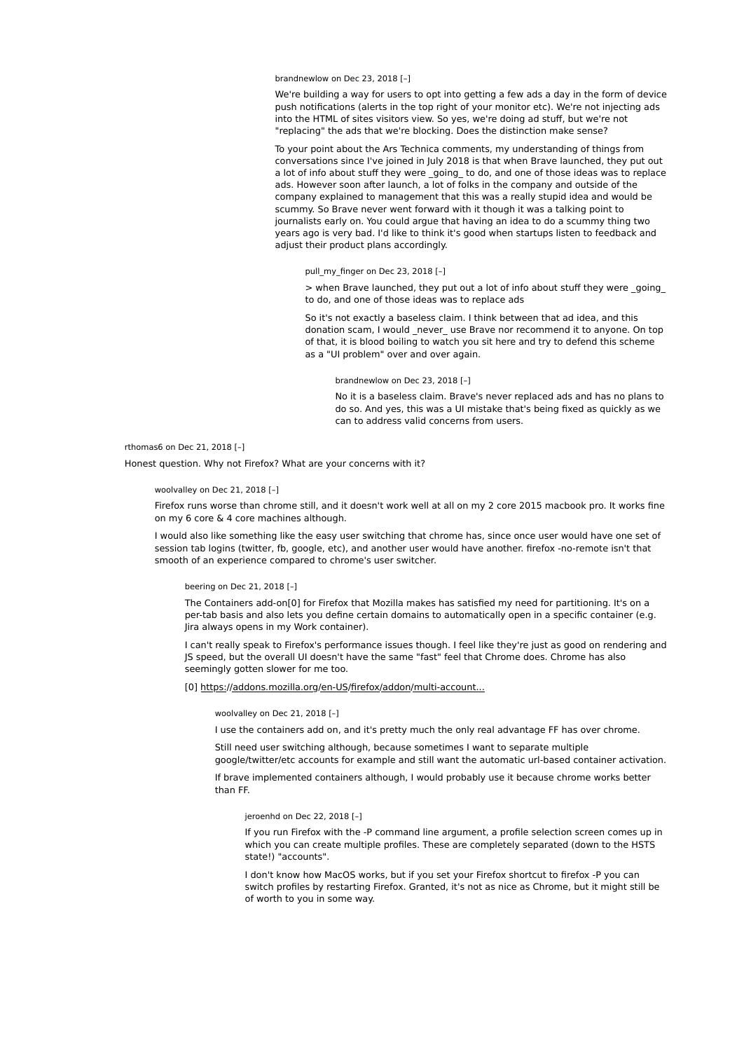brandnewlow on Dec 23, 2018 [–]

We're building a way for users to opt into getting a few ads a day in the form of device push notifications (alerts in the top right of your monitor etc). We're not injecting ads into the HTML of sites visitors view. So yes, we're doing ad stuff, but we're not "replacing" the ads that we're blocking. Does the distinction make sense?

To your point about the Ars Technica comments, my understanding of things from conversations since I've joined in July 2018 is that when Brave launched, they put out a lot of info about stuff they were going to do, and one of those ideas was to replace ads. However soon after launch, a lot of folks in the company and outside of the company explained to management that this was a really stupid idea and would be scummy. So Brave never went forward with it though it was a talking point to journalists early on. You could argue that having an idea to do a scummy thing two years ago is very bad. I'd like to think it's good when startups listen to feedback and adjust their product plans accordingly.

pull\_my\_finger on Dec 23, 2018 [–]

> when Brave launched, they put out a lot of info about stuff they were \_going\_ to do, and one of those ideas was to replace ads

So it's not exactly a baseless claim. I think between that ad idea, and this donation scam, I would \_never\_ use Brave nor recommend it to anyone. On top of that, it is blood boiling to watch you sit here and try to defend this scheme as a "UI problem" over and over again.

brandnewlow on Dec 23, 2018 [–]

No it is a baseless claim. Brave's never replaced ads and has no plans to do so. And yes, this was a UI mistake that's being fixed as quickly as we can to address valid concerns from users.

rthomas6 on Dec 21, 2018 [–]

Honest question. Why not Firefox? What are your concerns with it?

### woolvalley on Dec 21, 2018 [–]

Firefox runs worse than chrome still, and it doesn't work well at all on my 2 core 2015 macbook pro. It works fine on my 6 core & 4 core machines although.

I would also like something like the easy user switching that chrome has, since once user would have one set of session tab logins (twitter, fb, google, etc), and another user would have another. firefox -no-remote isn't that smooth of an experience compared to chrome's user switcher.

# beering on Dec 21, 2018 [–]

The Containers add-on[0] for Firefox that Mozilla makes has satisfied my need for partitioning. It's on a per-tab basis and also lets you define certain domains to automatically open in a specific container (e.g. Jira always opens in my Work container).

I can't really speak to Firefox's performance issues though. I feel like they're just as good on rendering and JS speed, but the overall UI doesn't have the same "fast" feel that Chrome does. Chrome has also seemingly gotten slower for me too.

[0] https://addons.mozilla.org/en-US/firefox/addon/multi-account...

#### woolvalley on Dec 21, 2018 [–]

I use the containers add on, and it's pretty much the only real advantage FF has over chrome.

Still need user switching although, because sometimes I want to separate multiple google/twitter/etc accounts for example and still want the automatic url-based container activation.

If brave implemented containers although, I would probably use it because chrome works better than FF.

# jeroenhd on Dec 22, 2018 [–]

If you run Firefox with the -P command line argument, a profile selection screen comes up in which you can create multiple profiles. These are completely separated (down to the HSTS state!) "accounts".

I don't know how MacOS works, but if you set your Firefox shortcut to firefox -P you can switch profiles by restarting Firefox. Granted, it's not as nice as Chrome, but it might still be of worth to you in some way.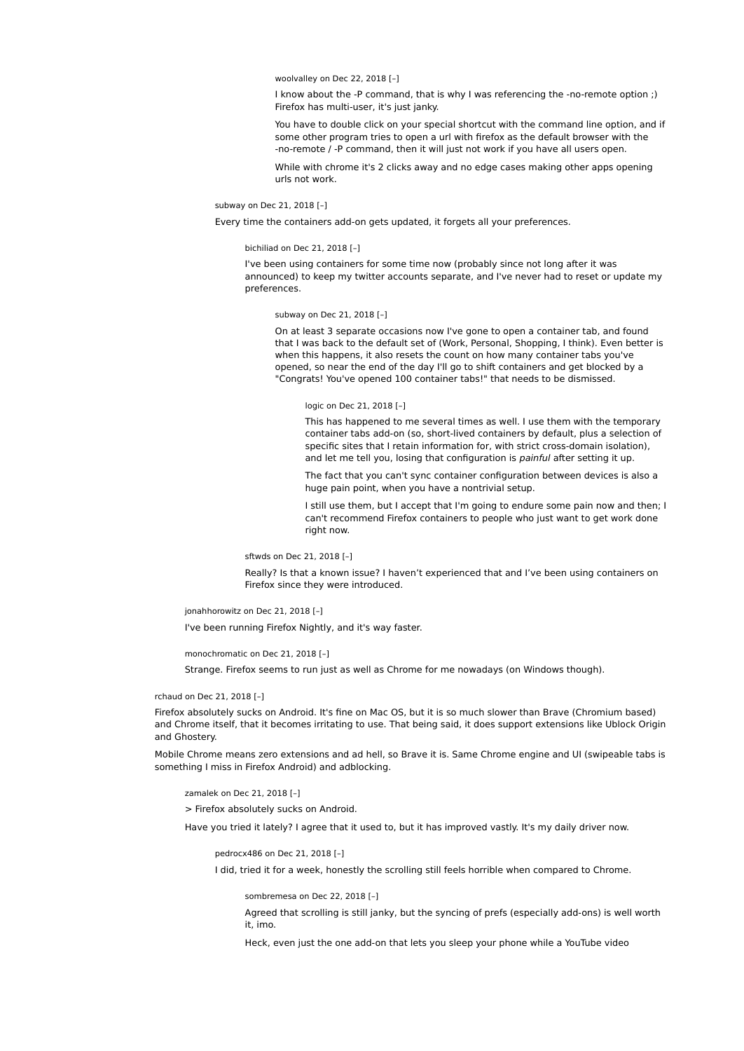woolvalley on Dec 22, 2018 [–]

I know about the -P command, that is why I was referencing the -no-remote option ;) Firefox has multi-user, it's just janky.

You have to double click on your special shortcut with the command line option, and if some other program tries to open a url with firefox as the default browser with the -no-remote / -P command, then it will just not work if you have all users open.

While with chrome it's 2 clicks away and no edge cases making other apps opening urls not work.

subway on Dec 21, 2018 [–]

Every time the containers add-on gets updated, it forgets all your preferences.

bichiliad on Dec 21, 2018 [–]

I've been using containers for some time now (probably since not long after it was announced) to keep my twitter accounts separate, and I've never had to reset or update my preferences.

subway on Dec 21, 2018 [–]

On at least 3 separate occasions now I've gone to open a container tab, and found that I was back to the default set of (Work, Personal, Shopping, I think). Even better is when this happens, it also resets the count on how many container tabs you've opened, so near the end of the day I'll go to shift containers and get blocked by a "Congrats! You've opened 100 container tabs!" that needs to be dismissed.

#### logic on Dec 21, 2018 [–]

This has happened to me several times as well. I use them with the temporary container tabs add-on (so, short-lived containers by default, plus a selection of specific sites that I retain information for, with strict cross-domain isolation), and let me tell you, losing that configuration is *painful* after setting it up.

The fact that you can't sync container configuration between devices is also a huge pain point, when you have a nontrivial setup.

I still use them, but I accept that I'm going to endure some pain now and then; I can't recommend Firefox containers to people who just want to get work done right now.

sftwds on Dec 21, 2018 [–]

Really? Is that a known issue? I haven't experienced that and I've been using containers on Firefox since they were introduced.

jonahhorowitz on Dec 21, 2018 [–]

I've been running Firefox Nightly, and it's way faster.

monochromatic on Dec 21, 2018 [–]

Strange. Firefox seems to run just as well as Chrome for me nowadays (on Windows though).

rchaud on Dec 21, 2018 [–]

Firefox absolutely sucks on Android. It's fine on Mac OS, but it is so much slower than Brave (Chromium based) and Chrome itself, that it becomes irritating to use. That being said, it does support extensions like Ublock Origin and Ghostery.

Mobile Chrome means zero extensions and ad hell, so Brave it is. Same Chrome engine and UI (swipeable tabs is something I miss in Firefox Android) and adblocking.

zamalek on Dec 21, 2018 [–]

> Firefox absolutely sucks on Android.

Have you tried it lately? I agree that it used to, but it has improved vastly. It's my daily driver now.

pedrocx486 on Dec 21, 2018 [–]

I did, tried it for a week, honestly the scrolling still feels horrible when compared to Chrome.

sombremesa on Dec 22, 2018 [–]

Agreed that scrolling is still janky, but the syncing of prefs (especially add-ons) is well worth it, imo.

Heck, even just the one add-on that lets you sleep your phone while a YouTube video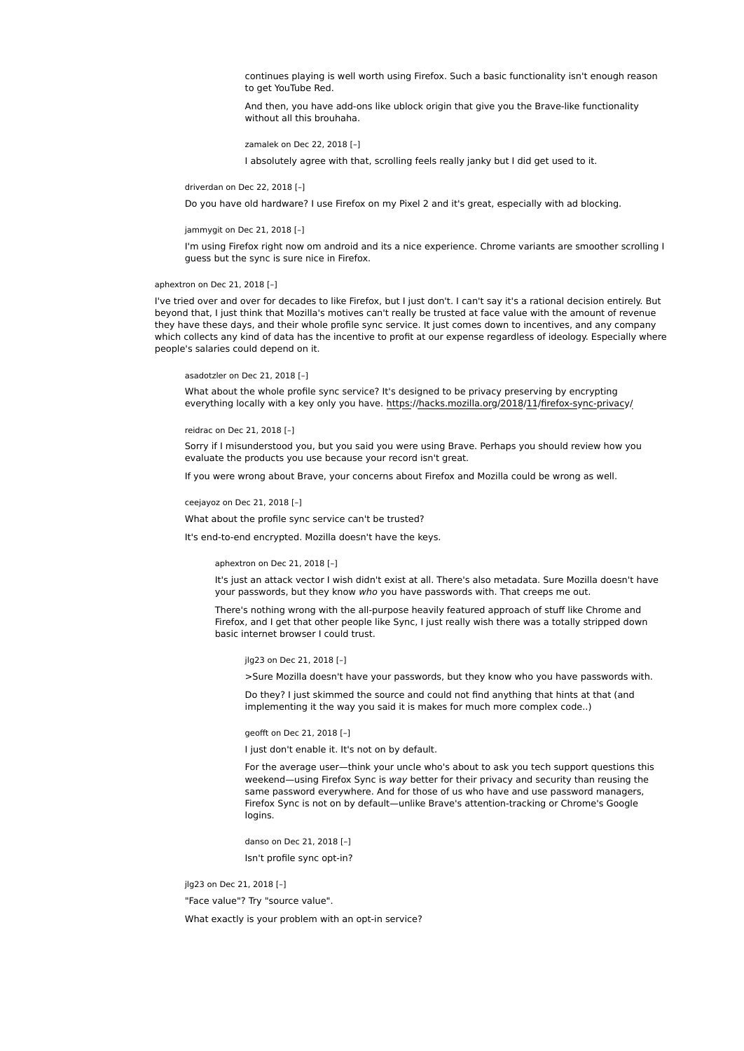continues playing is well worth using Firefox. Such a basic functionality isn't enough reason to get YouTube Red.

And then, you have add-ons like ublock origin that give you the Brave-like functionality without all this brouhaha.

zamalek on Dec 22, 2018 [–]

I absolutely agree with that, scrolling feels really janky but I did get used to it.

driverdan on Dec 22, 2018 [–]

Do you have old hardware? I use Firefox on my Pixel 2 and it's great, especially with ad blocking.

jammygit on Dec 21, 2018 [–]

I'm using Firefox right now om android and its a nice experience. Chrome variants are smoother scrolling I guess but the sync is sure nice in Firefox.

aphextron on Dec 21, 2018 [–]

I've tried over and over for decades to like Firefox, but I just don't. I can't say it's a rational decision entirely. But beyond that, I just think that Mozilla's motives can't really be trusted at face value with the amount of revenue they have these days, and their whole profile sync service. It just comes down to incentives, and any company which collects any kind of data has the incentive to profit at our expense regardless of ideology. Especially where people's salaries could depend on it.

asadotzler on Dec 21, 2018 [–]

What about the whole profile sync service? It's designed to be privacy preserving by encrypting everything locally with a key only you have. https://hacks.mozilla.org/2018/11/firefox-sync-privacy/

#### reidrac on Dec 21, 2018 [–]

Sorry if I misunderstood you, but you said you were using Brave. Perhaps you should review how you evaluate the products you use because your record isn't great.

If you were wrong about Brave, your concerns about Firefox and Mozilla could be wrong as well.

ceejayoz on Dec 21, 2018 [–]

What about the profile sync service can't be trusted?

It's end-to-end encrypted. Mozilla doesn't have the keys.

aphextron on Dec 21, 2018 [–]

It's just an attack vector I wish didn't exist at all. There's also metadata. Sure Mozilla doesn't have your passwords, but they know who you have passwords with. That creeps me out.

There's nothing wrong with the all-purpose heavily featured approach of stuff like Chrome and Firefox, and I get that other people like Sync, I just really wish there was a totally stripped down basic internet browser I could trust.

jlg23 on Dec 21, 2018 [–]

>Sure Mozilla doesn't have your passwords, but they know who you have passwords with.

Do they? I just skimmed the source and could not find anything that hints at that (and implementing it the way you said it is makes for much more complex code..)

geofft on Dec 21, 2018 [–]

I just don't enable it. It's not on by default.

For the average user—think your uncle who's about to ask you tech support questions this weekend—using Firefox Sync is way better for their privacy and security than reusing the same password everywhere. And for those of us who have and use password managers, Firefox Sync is not on by default—unlike Brave's attention-tracking or Chrome's Google logins.

danso on Dec 21, 2018 [–]

Isn't profile sync opt-in?

jlg23 on Dec 21, 2018 [–]

"Face value"? Try "source value".

What exactly is your problem with an opt-in service?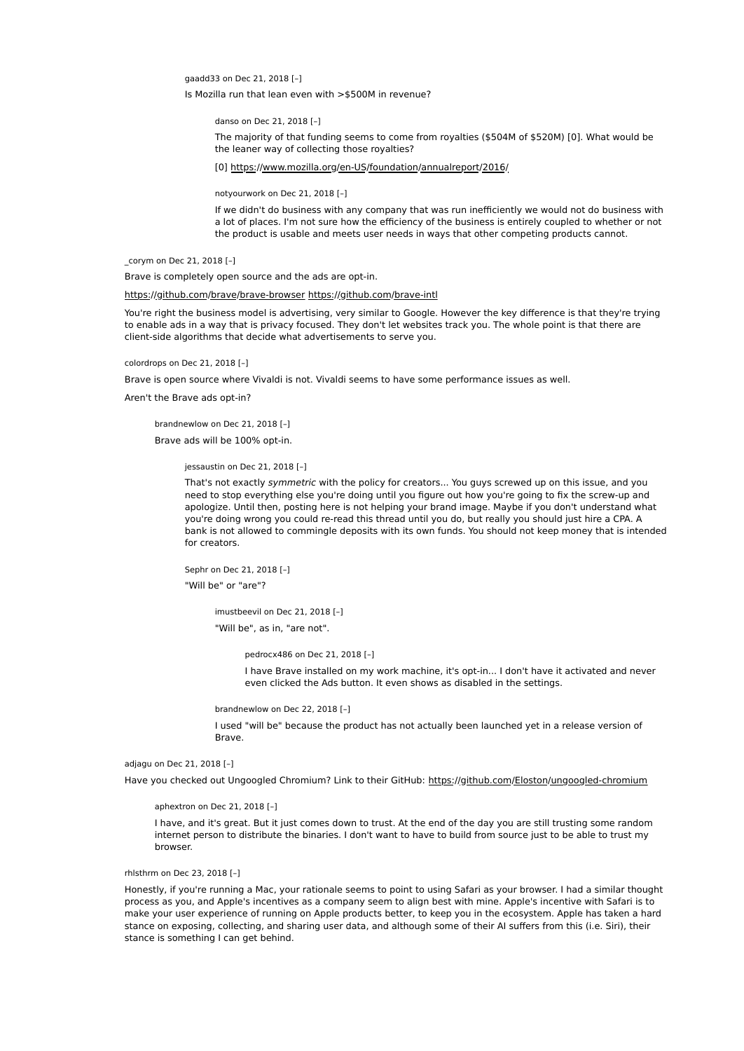gaadd33 on Dec 21, 2018 [–]

Is Mozilla run that lean even with >\$500M in revenue?

danso on Dec 21, 2018 [–]

The majority of that funding seems to come from royalties (\$504M of \$520M) [0]. What would be the leaner way of collecting those royalties?

[0] https://www.mozilla.org/en-US/foundation/annualreport/2016/

notyourwork on Dec 21, 2018 [–]

If we didn't do business with any company that was run inefficiently we would not do business with a lot of places. I'm not sure how the efficiency of the business is entirely coupled to whether or not the product is usable and meets user needs in ways that other competing products cannot.

\_corym on Dec 21, 2018 [–]

Brave is completely open source and the ads are opt-in.

# https://github.com/brave/brave-browser https://github.com/brave-intl

You're right the business model is advertising, very similar to Google. However the key difference is that they're trying to enable ads in a way that is privacy focused. They don't let websites track you. The whole point is that there are client-side algorithms that decide what advertisements to serve you.

colordrops on Dec 21, 2018 [–]

Brave is open source where Vivaldi is not. Vivaldi seems to have some performance issues as well.

Aren't the Brave ads opt-in?

brandnewlow on Dec 21, 2018 [–]

Brave ads will be 100% opt-in.

jessaustin on Dec 21, 2018 [–]

That's not exactly symmetric with the policy for creators... You guys screwed up on this issue, and you need to stop everything else you're doing until you figure out how you're going to fix the screw-up and apologize. Until then, posting here is not helping your brand image. Maybe if you don't understand what you're doing wrong you could re-read this thread until you do, but really you should just hire a CPA. A bank is not allowed to commingle deposits with its own funds. You should not keep money that is intended for creators.

Sephr on Dec 21, 2018 [–] "Will be" or "are"?

> imustbeevil on Dec 21, 2018 [–] "Will be", as in, "are not".

> > pedrocx486 on Dec 21, 2018 [–]

I have Brave installed on my work machine, it's opt-in... I don't have it activated and never even clicked the Ads button. It even shows as disabled in the settings.

brandnewlow on Dec 22, 2018 [–]

I used "will be" because the product has not actually been launched yet in a release version of Brave.

adjagu on Dec 21, 2018 [–]

Have you checked out Ungoogled Chromium? Link to their GitHub: https://github.com/Eloston/ungoogled-chromium

aphextron on Dec 21, 2018 [–]

I have, and it's great. But it just comes down to trust. At the end of the day you are still trusting some random internet person to distribute the binaries. I don't want to have to build from source just to be able to trust my browser.

# rhlsthrm on Dec 23, 2018 [–]

Honestly, if you're running a Mac, your rationale seems to point to using Safari as your browser. I had a similar thought process as you, and Apple's incentives as a company seem to align best with mine. Apple's incentive with Safari is to make your user experience of running on Apple products better, to keep you in the ecosystem. Apple has taken a hard stance on exposing, collecting, and sharing user data, and although some of their AI suffers from this (i.e. Siri), their stance is something I can get behind.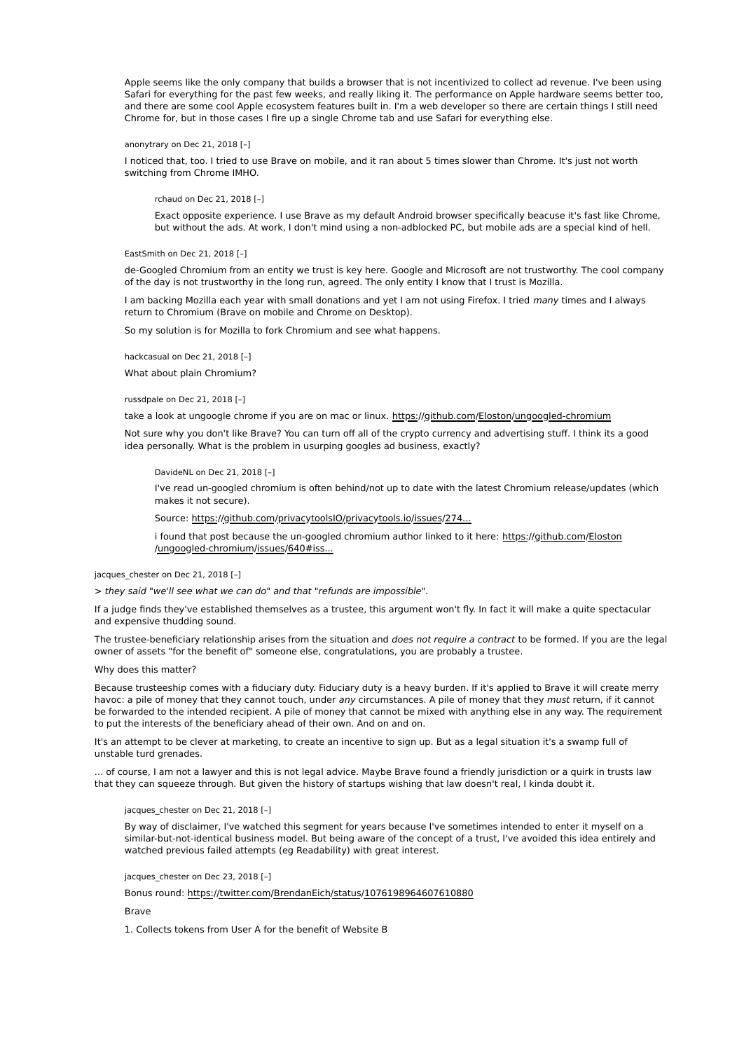Apple seems like the only company that builds a browser that is not incentivized to collect ad revenue. I've been using Safari for everything for the past few weeks, and really liking it. The performance on Apple hardware seems better too, and there are some cool Apple ecosystem features built in. I'm a web developer so there are certain things I still need Chrome for, but in those cases I fire up a single Chrome tab and use Safari for everything else.

### anonytrary on Dec 21, 2018 [–]

I noticed that, too. I tried to use Brave on mobile, and it ran about 5 times slower than Chrome. It's just not worth switching from Chrome IMHO.

### rchaud on Dec 21, 2018 [–]

Exact opposite experience. I use Brave as my default Android browser specifically beacuse it's fast like Chrome, but without the ads. At work, I don't mind using a non-adblocked PC, but mobile ads are a special kind of hell.

### EastSmith on Dec 21, 2018 [-]

de-Googled Chromium from an entity we trust is key here. Google and Microsoft are not trustworthy. The cool company of the day is not trustworthy in the long run, agreed. The only entity I know that I trust is Mozilla.

I am backing Mozilla each year with small donations and yet I am not using Firefox. I tried many times and I always return to Chromium (Brave on mobile and Chrome on Desktop).

So my solution is for Mozilla to fork Chromium and see what happens.

hackcasual on Dec 21, 2018 [–]

What about plain Chromium?

# russdpale on Dec 21, 2018 [–]

take a look at ungoogle chrome if you are on mac or linux. https://github.com/Eloston/ungoogled-chromium

Not sure why you don't like Brave? You can turn off all of the crypto currency and advertising stuff. I think its a good idea personally. What is the problem in usurping googles ad business, exactly?

DavideNL on Dec 21, 2018 [–]

I've read un-googled chromium is often behind/not up to date with the latest Chromium release/updates (which makes it not secure).

Source: https://github.com/privacytoolsIO/privacytools.io/issues/274...

i found that post because the un-googled chromium author linked to it here: https://github.com/Eloston /ungoogled-chromium/issues/640#iss...

# jacques chester on Dec 21, 2018 [-]

> they said "we'll see what we can do" and that "refunds are impossible".

If a judge finds they've established themselves as a trustee, this argument won't fly. In fact it will make a quite spectacular and expensive thudding sound.

The trustee-beneficiary relationship arises from the situation and does not require a contract to be formed. If you are the legal owner of assets "for the benefit of" someone else, congratulations, you are probably a trustee.

### Why does this matter?

Because trusteeship comes with a fiduciary duty. Fiduciary duty is a heavy burden. If it's applied to Brave it will create merry havoc: a pile of money that they cannot touch, under any circumstances. A pile of money that they must return, if it cannot be forwarded to the intended recipient. A pile of money that cannot be mixed with anything else in any way. The requirement to put the interests of the beneficiary ahead of their own. And on and on.

It's an attempt to be clever at marketing, to create an incentive to sign up. But as a legal situation it's a swamp full of unstable turd grenades.

... of course, I am not a lawyer and this is not legal advice. Maybe Brave found a friendly jurisdiction or a quirk in trusts law that they can squeeze through. But given the history of startups wishing that law doesn't real, I kinda doubt it.

#### jacques\_chester on Dec 21, 2018 [-]

By way of disclaimer, I've watched this segment for years because I've sometimes intended to enter it myself on a similar-but-not-identical business model. But being aware of the concept of a trust, I've avoided this idea entirely and watched previous failed attempts (eg Readability) with great interest.

#### jacques\_chester on Dec 23, 2018 [-]

Bonus round: https://twitter.com/BrendanEich/status/1076198964607610880

#### Brave

1. Collects tokens from User A for the benefit of Website B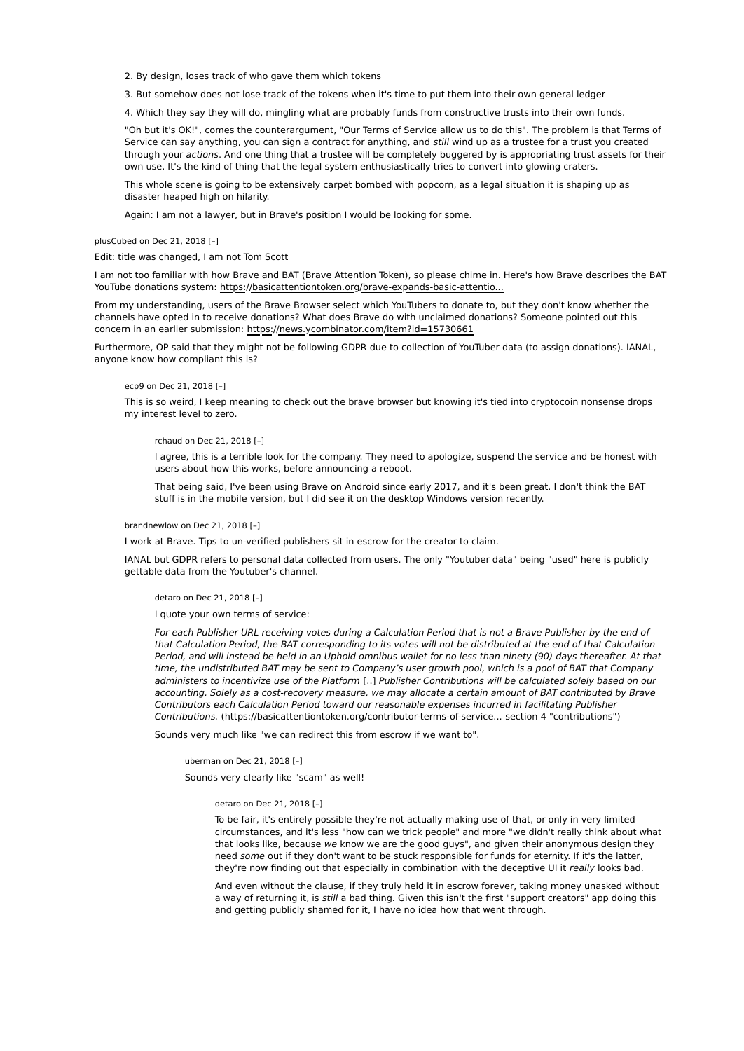2. By design, loses track of who gave them which tokens

3. But somehow does not lose track of the tokens when it's time to put them into their own general ledger

4. Which they say they will do, mingling what are probably funds from constructive trusts into their own funds.

"Oh but it's OK!", comes the counterargument, "Our Terms of Service allow us to do this". The problem is that Terms of Service can say anything, you can sign a contract for anything, and still wind up as a trustee for a trust you created through your actions. And one thing that a trustee will be completely buggered by is appropriating trust assets for their own use. It's the kind of thing that the legal system enthusiastically tries to convert into glowing craters.

This whole scene is going to be extensively carpet bombed with popcorn, as a legal situation it is shaping up as disaster heaped high on hilarity.

Again: I am not a lawyer, but in Brave's position I would be looking for some.

plusCubed on Dec 21, 2018 [–]

Edit: title was changed, I am not Tom Scott

I am not too familiar with how Brave and BAT (Brave Attention Token), so please chime in. Here's how Brave describes the BAT YouTube donations system: https://basicattentiontoken.org/brave-expands-basic-attentio...

From my understanding, users of the Brave Browser select which YouTubers to donate to, but they don't know whether the channels have opted in to receive donations? What does Brave do with unclaimed donations? Someone pointed out this concern in an earlier submission: https://news.ycombinator.com/item?id=15730661

Furthermore, OP said that they might not be following GDPR due to collection of YouTuber data (to assign donations). IANAL, anyone know how compliant this is?

### ecp9 on Dec 21, 2018 [–]

This is so weird, I keep meaning to check out the brave browser but knowing it's tied into cryptocoin nonsense drops my interest level to zero.

#### rchaud on Dec 21, 2018 [–]

I agree, this is a terrible look for the company. They need to apologize, suspend the service and be honest with users about how this works, before announcing a reboot.

That being said, I've been using Brave on Android since early 2017, and it's been great. I don't think the BAT stuff is in the mobile version, but I did see it on the desktop Windows version recently.

#### brandnewlow on Dec 21, 2018 [–]

I work at Brave. Tips to un-verified publishers sit in escrow for the creator to claim.

IANAL but GDPR refers to personal data collected from users. The only "Youtuber data" being "used" here is publicly gettable data from the Youtuber's channel.

### detaro on Dec 21, 2018 [–]

I quote your own terms of service:

For each Publisher URL receiving votes during a Calculation Period that is not a Brave Publisher by the end of that Calculation Period, the BAT corresponding to its votes will not be distributed at the end of that Calculation Period, and will instead be held in an Uphold omnibus wallet for no less than ninety (90) days thereafter. At that time, the undistributed BAT may be sent to Company's user growth pool, which is a pool of BAT that Company administers to incentivize use of the Platform [..] Publisher Contributions will be calculated solely based on our accounting. Solely as a cost-recovery measure, we may allocate a certain amount of BAT contributed by Brave Contributors each Calculation Period toward our reasonable expenses incurred in facilitating Publisher Contributions. (https://basicattentiontoken.org/contributor-terms-of-service... section 4 "contributions")

Sounds very much like "we can redirect this from escrow if we want to".

uberman on Dec 21, 2018 [–] Sounds very clearly like "scam" as well!

#### detaro on Dec 21, 2018 [–]

To be fair, it's entirely possible they're not actually making use of that, or only in very limited circumstances, and it's less "how can we trick people" and more "we didn't really think about what that looks like, because we know we are the good guys", and given their anonymous design they need some out if they don't want to be stuck responsible for funds for eternity. If it's the latter, they're now finding out that especially in combination with the deceptive UI it really looks bad.

And even without the clause, if they truly held it in escrow forever, taking money unasked without a way of returning it, is still a bad thing. Given this isn't the first "support creators" app doing this and getting publicly shamed for it, I have no idea how that went through.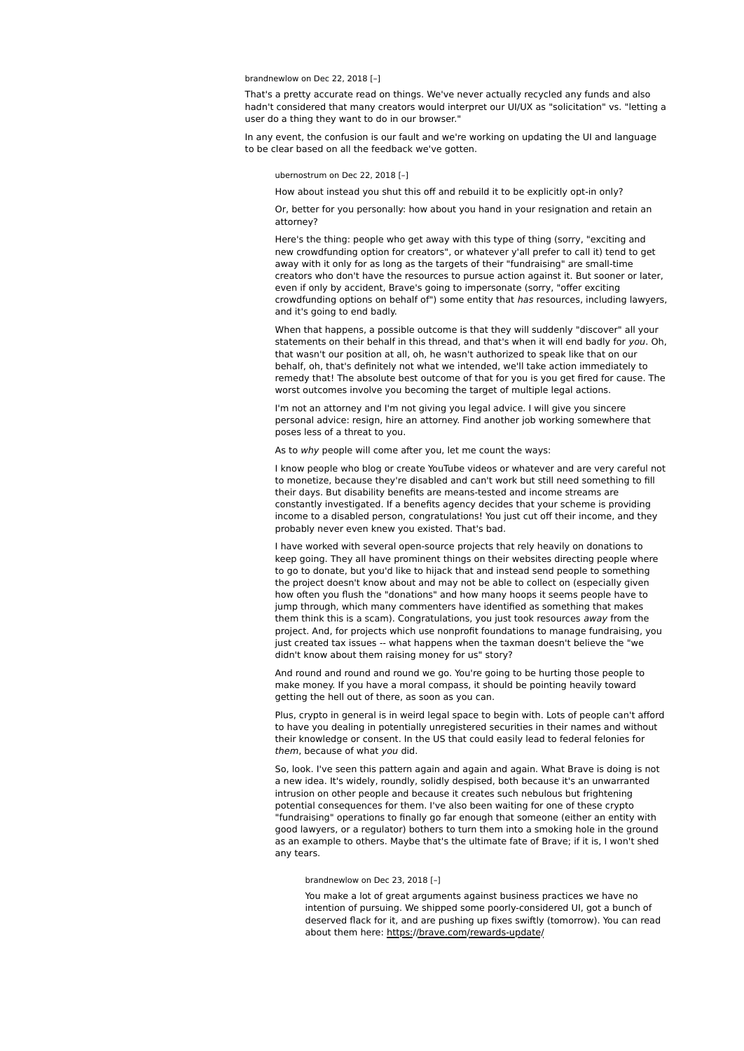### brandnewlow on Dec 22, 2018 [–]

That's a pretty accurate read on things. We've never actually recycled any funds and also hadn't considered that many creators would interpret our UI/UX as "solicitation" vs. "letting a user do a thing they want to do in our browser."

In any event, the confusion is our fault and we're working on updating the UI and language to be clear based on all the feedback we've gotten.

#### ubernostrum on Dec 22, 2018 [–]

How about instead you shut this off and rebuild it to be explicitly opt-in only?

Or, better for you personally: how about you hand in your resignation and retain an attorney?

Here's the thing: people who get away with this type of thing (sorry, "exciting and new crowdfunding option for creators", or whatever y'all prefer to call it) tend to get away with it only for as long as the targets of their "fundraising" are small-time creators who don't have the resources to pursue action against it. But sooner or later, even if only by accident, Brave's going to impersonate (sorry, "offer exciting crowdfunding options on behalf of") some entity that has resources, including lawyers, and it's going to end badly.

When that happens, a possible outcome is that they will suddenly "discover" all your statements on their behalf in this thread, and that's when it will end badly for you. Oh, that wasn't our position at all, oh, he wasn't authorized to speak like that on our behalf, oh, that's definitely not what we intended, we'll take action immediately to remedy that! The absolute best outcome of that for you is you get fired for cause. The worst outcomes involve you becoming the target of multiple legal actions.

I'm not an attorney and I'm not giving you legal advice. I will give you sincere personal advice: resign, hire an attorney. Find another job working somewhere that poses less of a threat to you.

As to why people will come after you, let me count the ways:

I know people who blog or create YouTube videos or whatever and are very careful not to monetize, because they're disabled and can't work but still need something to fill their days. But disability benefits are means-tested and income streams are constantly investigated. If a benefits agency decides that your scheme is providing income to a disabled person, congratulations! You just cut off their income, and they probably never even knew you existed. That's bad.

I have worked with several open-source projects that rely heavily on donations to keep going. They all have prominent things on their websites directing people where to go to donate, but you'd like to hijack that and instead send people to something the project doesn't know about and may not be able to collect on (especially given how often you flush the "donations" and how many hoops it seems people have to jump through, which many commenters have identified as something that makes them think this is a scam). Congratulations, you just took resources away from the project. And, for projects which use nonprofit foundations to manage fundraising, you just created tax issues -- what happens when the taxman doesn't believe the "we didn't know about them raising money for us" story?

And round and round and round we go. You're going to be hurting those people to make money. If you have a moral compass, it should be pointing heavily toward getting the hell out of there, as soon as you can.

Plus, crypto in general is in weird legal space to begin with. Lots of people can't afford to have you dealing in potentially unregistered securities in their names and without their knowledge or consent. In the US that could easily lead to federal felonies for them, because of what you did.

So, look. I've seen this pattern again and again and again. What Brave is doing is not a new idea. It's widely, roundly, solidly despised, both because it's an unwarranted intrusion on other people and because it creates such nebulous but frightening potential consequences for them. I've also been waiting for one of these crypto "fundraising" operations to finally go far enough that someone (either an entity with good lawyers, or a regulator) bothers to turn them into a smoking hole in the ground as an example to others. Maybe that's the ultimate fate of Brave; if it is, I won't shed any tears.

### brandnewlow on Dec 23, 2018 [–]

You make a lot of great arguments against business practices we have no intention of pursuing. We shipped some poorly-considered UI, got a bunch of deserved flack for it, and are pushing up fixes swiftly (tomorrow). You can read about them here: https://brave.com/rewards-update/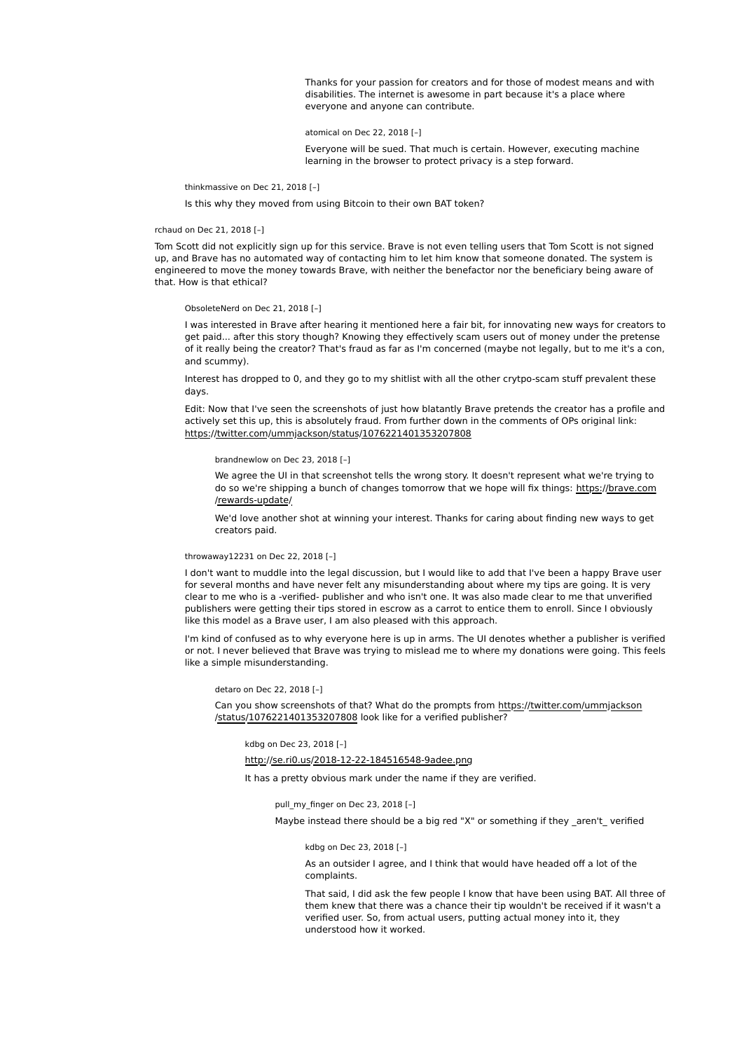Thanks for your passion for creators and for those of modest means and with disabilities. The internet is awesome in part because it's a place where everyone and anyone can contribute.

atomical on Dec 22, 2018 [–]

Everyone will be sued. That much is certain. However, executing machine learning in the browser to protect privacy is a step forward.

thinkmassive on Dec 21, 2018 [–]

Is this why they moved from using Bitcoin to their own BAT token?

#### rchaud on Dec 21, 2018 [–]

Tom Scott did not explicitly sign up for this service. Brave is not even telling users that Tom Scott is not signed up, and Brave has no automated way of contacting him to let him know that someone donated. The system is engineered to move the money towards Brave, with neither the benefactor nor the beneficiary being aware of that. How is that ethical?

ObsoleteNerd on Dec 21, 2018 [–]

I was interested in Brave after hearing it mentioned here a fair bit, for innovating new ways for creators to get paid... after this story though? Knowing they effectively scam users out of money under the pretense of it really being the creator? That's fraud as far as I'm concerned (maybe not legally, but to me it's a con, and scummy).

Interest has dropped to 0, and they go to my shitlist with all the other crytpo-scam stuff prevalent these days.

Edit: Now that I've seen the screenshots of just how blatantly Brave pretends the creator has a profile and actively set this up, this is absolutely fraud. From further down in the comments of OPs original link: https://twitter.com/ummjackson/status/1076221401353207808

brandnewlow on Dec 23, 2018 [–]

We agree the UI in that screenshot tells the wrong story. It doesn't represent what we're trying to do so we're shipping a bunch of changes tomorrow that we hope will fix things: https://brave.com /rewards-update/

We'd love another shot at winning your interest. Thanks for caring about finding new ways to get creators paid.

### throwaway12231 on Dec 22, 2018 [–]

I don't want to muddle into the legal discussion, but I would like to add that I've been a happy Brave user for several months and have never felt any misunderstanding about where my tips are going. It is very clear to me who is a -verified- publisher and who isn't one. It was also made clear to me that unverified publishers were getting their tips stored in escrow as a carrot to entice them to enroll. Since I obviously like this model as a Brave user, I am also pleased with this approach.

I'm kind of confused as to why everyone here is up in arms. The UI denotes whether a publisher is verified or not. I never believed that Brave was trying to mislead me to where my donations were going. This feels like a simple misunderstanding.

#### detaro on Dec 22, 2018 [–]

Can you show screenshots of that? What do the prompts from https://twitter.com/ummjackson /status/1076221401353207808 look like for a verified publisher?

kdbg on Dec 23, 2018 [–]

# http://se.ri0.us/2018-12-22-184516548-9adee.png

It has a pretty obvious mark under the name if they are verified.

pull\_my\_finger on Dec 23, 2018 [–]

Maybe instead there should be a big red "X" or something if they \_aren't\_ verified

#### kdbg on Dec 23, 2018 [–]

As an outsider I agree, and I think that would have headed off a lot of the complaints.

That said, I did ask the few people I know that have been using BAT. All three of them knew that there was a chance their tip wouldn't be received if it wasn't a verified user. So, from actual users, putting actual money into it, they understood how it worked.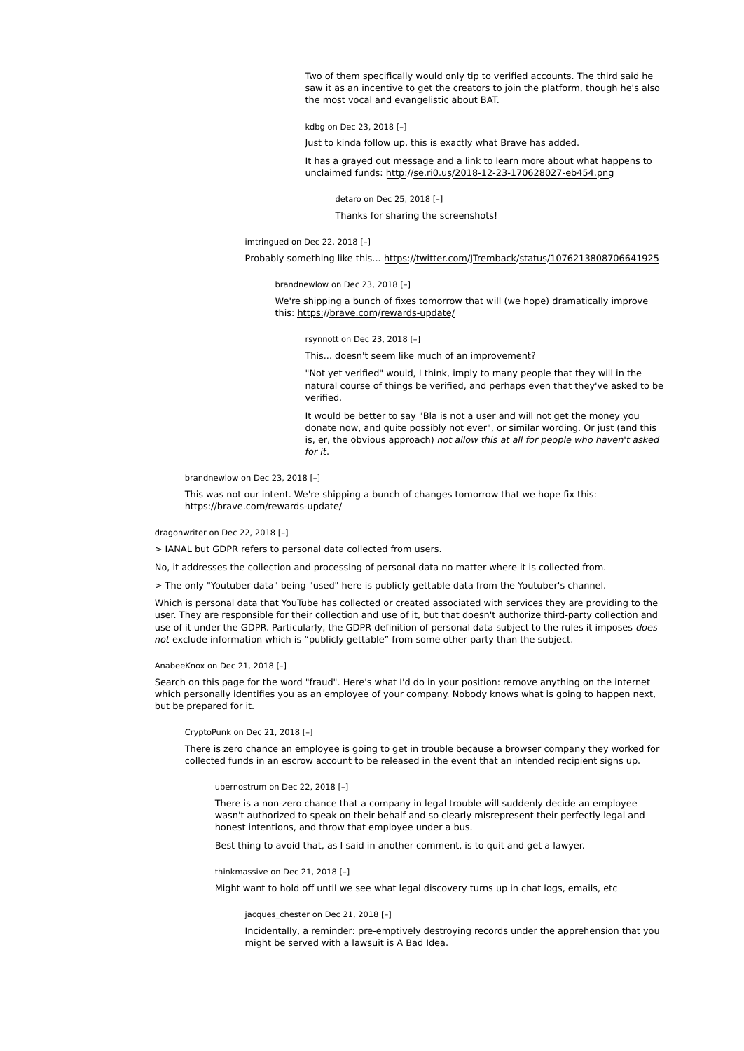Two of them specifically would only tip to verified accounts. The third said he saw it as an incentive to get the creators to join the platform, though he's also the most vocal and evangelistic about BAT.

kdbg on Dec 23, 2018 [–]

Just to kinda follow up, this is exactly what Brave has added.

It has a grayed out message and a link to learn more about what happens to unclaimed funds: http://se.ri0.us/2018-12-23-170628027-eb454.png

detaro on Dec 25, 2018 [–] Thanks for sharing the screenshots!

imtringued on Dec 22, 2018 [–]

Probably something like this... https://twitter.com/JTremback/status/1076213808706641925

brandnewlow on Dec 23, 2018 [–]

We're shipping a bunch of fixes tomorrow that will (we hope) dramatically improve this: https://brave.com/rewards-update/

rsynnott on Dec 23, 2018 [–]

This... doesn't seem like much of an improvement?

"Not yet verified" would, I think, imply to many people that they will in the natural course of things be verified, and perhaps even that they've asked to be verified.

It would be better to say "Bla is not a user and will not get the money you donate now, and quite possibly not ever", or similar wording. Or just (and this is, er, the obvious approach) not allow this at all for people who haven't asked for it.

brandnewlow on Dec 23, 2018 [–]

This was not our intent. We're shipping a bunch of changes tomorrow that we hope fix this: https://brave.com/rewards-update/

dragonwriter on Dec 22, 2018 [–]

> IANAL but GDPR refers to personal data collected from users.

No, it addresses the collection and processing of personal data no matter where it is collected from.

> The only "Youtuber data" being "used" here is publicly gettable data from the Youtuber's channel.

Which is personal data that YouTube has collected or created associated with services they are providing to the user. They are responsible for their collection and use of it, but that doesn't authorize third-party collection and use of it under the GDPR. Particularly, the GDPR definition of personal data subject to the rules it imposes does not exclude information which is "publicly gettable" from some other party than the subject.

# AnabeeKnox on Dec 21, 2018 [–]

Search on this page for the word "fraud". Here's what I'd do in your position: remove anything on the internet which personally identifies you as an employee of your company. Nobody knows what is going to happen next, but be prepared for it.

CryptoPunk on Dec 21, 2018 [–]

There is zero chance an employee is going to get in trouble because a browser company they worked for collected funds in an escrow account to be released in the event that an intended recipient signs up.

ubernostrum on Dec 22, 2018 [–]

There is a non-zero chance that a company in legal trouble will suddenly decide an employee wasn't authorized to speak on their behalf and so clearly misrepresent their perfectly legal and honest intentions, and throw that employee under a bus.

Best thing to avoid that, as I said in another comment, is to quit and get a lawyer.

thinkmassive on Dec 21, 2018 [–]

Might want to hold off until we see what legal discovery turns up in chat logs, emails, etc

jacques chester on Dec 21, 2018 [-]

Incidentally, a reminder: pre-emptively destroying records under the apprehension that you might be served with a lawsuit is A Bad Idea.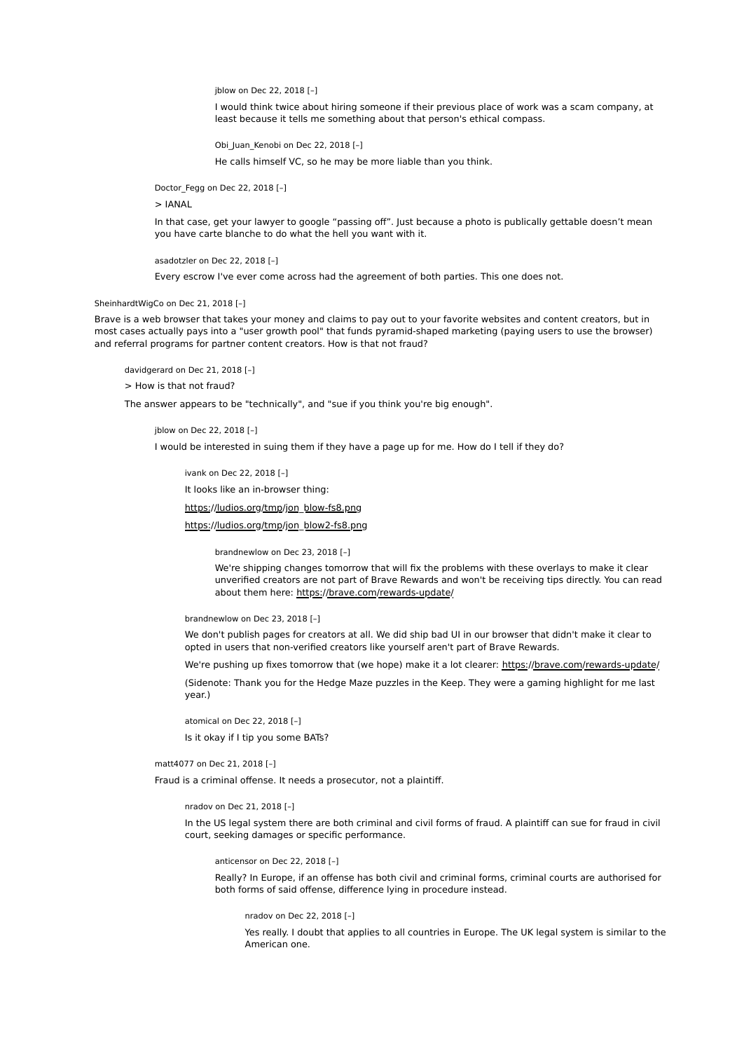jblow on Dec 22, 2018 [–]

I would think twice about hiring someone if their previous place of work was a scam company, at least because it tells me something about that person's ethical compass.

Obi Juan Kenobi on Dec 22, 2018 [-]

He calls himself VC, so he may be more liable than you think.

Doctor\_Fegg on Dec 22, 2018 [–]

> IANAL

In that case, get your lawyer to google "passing off". Just because a photo is publically gettable doesn't mean you have carte blanche to do what the hell you want with it.

asadotzler on Dec 22, 2018 [–]

Every escrow I've ever come across had the agreement of both parties. This one does not.

SheinhardtWigCo on Dec 21, 2018 [–]

Brave is a web browser that takes your money and claims to pay out to your favorite websites and content creators, but in most cases actually pays into a "user growth pool" that funds pyramid-shaped marketing (paying users to use the browser) and referral programs for partner content creators. How is that not fraud?

davidgerard on Dec 21, 2018 [–]

> How is that not fraud?

The answer appears to be "technically", and "sue if you think you're big enough".

jblow on Dec 22, 2018 [–]

I would be interested in suing them if they have a page up for me. How do I tell if they do?

ivank on Dec 22, 2018 [–]

It looks like an in-browser thing:

https://ludios.org/tmp/jon\_blow-fs8.png

https://ludios.org/tmp/jon\_blow2-fs8.png

brandnewlow on Dec 23, 2018 [–]

We're shipping changes tomorrow that will fix the problems with these overlays to make it clear unverified creators are not part of Brave Rewards and won't be receiving tips directly. You can read about them here: https://brave.com/rewards-update/

brandnewlow on Dec 23, 2018 [–]

We don't publish pages for creators at all. We did ship bad UI in our browser that didn't make it clear to opted in users that non-verified creators like yourself aren't part of Brave Rewards.

We're pushing up fixes tomorrow that (we hope) make it a lot clearer: https://brave.com/rewards-update/

(Sidenote: Thank you for the Hedge Maze puzzles in the Keep. They were a gaming highlight for me last year.)

atomical on Dec 22, 2018 [–] Is it okay if I tip you some BATs?

matt4077 on Dec 21, 2018 [–]

Fraud is a criminal offense. It needs a prosecutor, not a plaintiff.

nradov on Dec 21, 2018 [–]

In the US legal system there are both criminal and civil forms of fraud. A plaintiff can sue for fraud in civil court, seeking damages or specific performance.

anticensor on Dec 22, 2018 [–]

Really? In Europe, if an offense has both civil and criminal forms, criminal courts are authorised for both forms of said offense, difference lying in procedure instead.

nradov on Dec 22, 2018 [–]

Yes really. I doubt that applies to all countries in Europe. The UK legal system is similar to the American one.